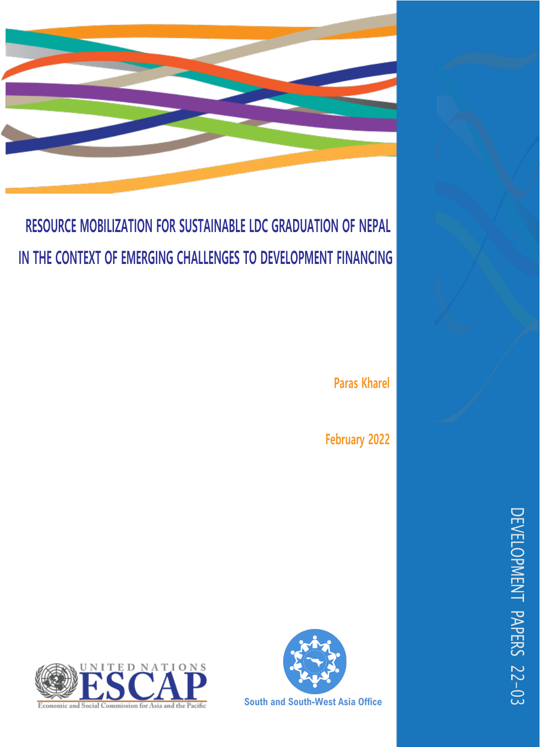

# **RESOURCE MOBILIZATION FOR SUSTAINABLE LDC GRADUATION OF NEPAL IN THE CONTEXT OF EMERGING CHALLENGES TO DEVELOPMENT FINANCING**

 **Paras Kharel**

 **February 2022**





**South and South-West Asia Office**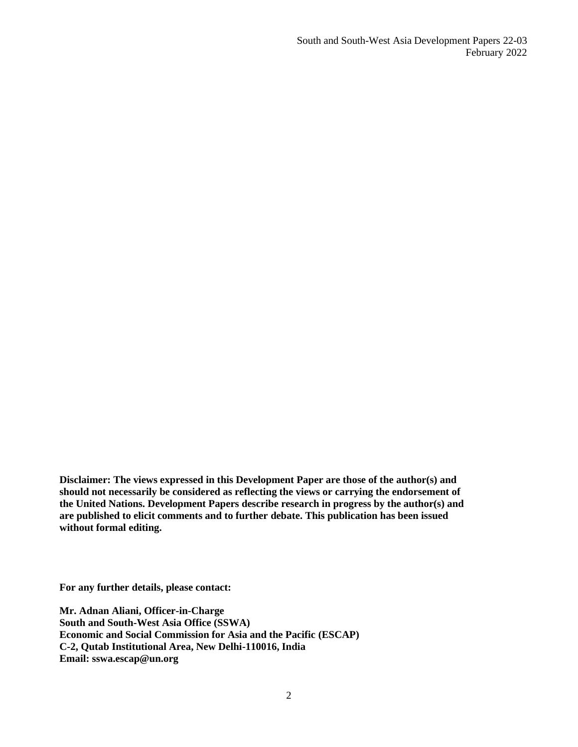South and South-West Asia Development Papers 22-03 February 2022

**Disclaimer: The views expressed in this Development Paper are those of the author(s) and should not necessarily be considered as reflecting the views or carrying the endorsement of the United Nations. Development Papers describe research in progress by the author(s) and are published to elicit comments and to further debate. This publication has been issued without formal editing.**

**For any further details, please contact:**

**Mr. Adnan Aliani, Officer-in-Charge South and South-West Asia Office (SSWA) Economic and Social Commission for Asia and the Pacific (ESCAP) C-2, Qutab Institutional Area, New Delhi-110016, India Email: sswa.escap@un.org**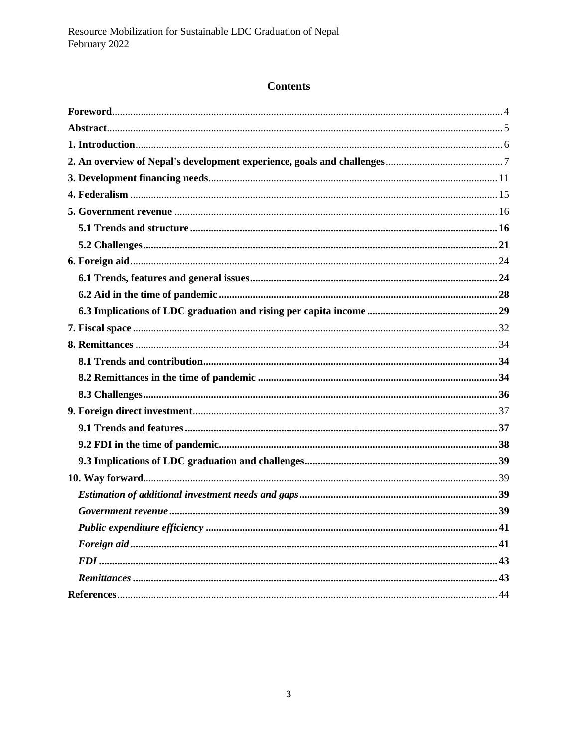# **Contents**

| . 41 |
|------|
|      |
|      |
|      |
|      |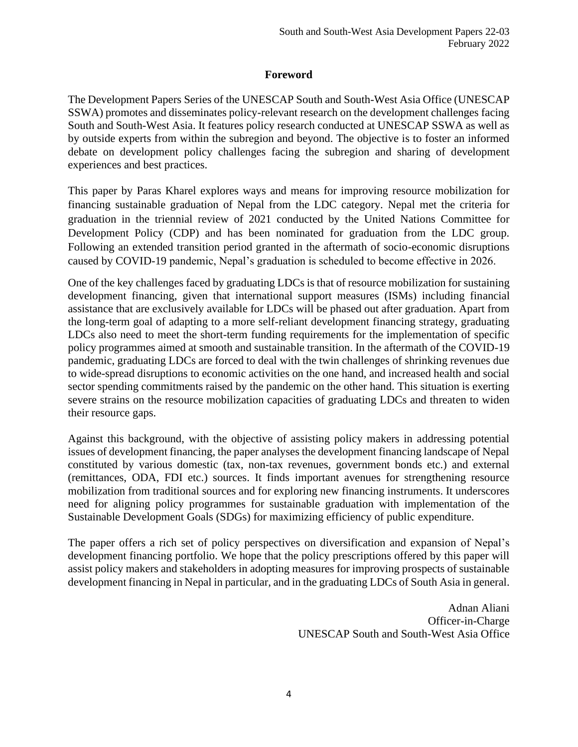#### **Foreword**

<span id="page-3-0"></span>The Development Papers Series of the UNESCAP South and South-West Asia Office (UNESCAP SSWA) promotes and disseminates policy-relevant research on the development challenges facing South and South-West Asia. It features policy research conducted at UNESCAP SSWA as well as by outside experts from within the subregion and beyond. The objective is to foster an informed debate on development policy challenges facing the subregion and sharing of development experiences and best practices.

This paper by Paras Kharel explores ways and means for improving resource mobilization for financing sustainable graduation of Nepal from the LDC category. Nepal met the criteria for graduation in the triennial review of 2021 conducted by the United Nations Committee for Development Policy (CDP) and has been nominated for graduation from the LDC group. Following an extended transition period granted in the aftermath of socio-economic disruptions caused by COVID-19 pandemic, Nepal's graduation is scheduled to become effective in 2026.

One of the key challenges faced by graduating LDCs is that of resource mobilization for sustaining development financing, given that international support measures (ISMs) including financial assistance that are exclusively available for LDCs will be phased out after graduation. Apart from the long-term goal of adapting to a more self-reliant development financing strategy, graduating LDCs also need to meet the short-term funding requirements for the implementation of specific policy programmes aimed at smooth and sustainable transition. In the aftermath of the COVID-19 pandemic, graduating LDCs are forced to deal with the twin challenges of shrinking revenues due to wide-spread disruptions to economic activities on the one hand, and increased health and social sector spending commitments raised by the pandemic on the other hand. This situation is exerting severe strains on the resource mobilization capacities of graduating LDCs and threaten to widen their resource gaps.

Against this background, with the objective of assisting policy makers in addressing potential issues of development financing, the paper analyses the development financing landscape of Nepal constituted by various domestic (tax, non-tax revenues, government bonds etc.) and external (remittances, ODA, FDI etc.) sources. It finds important avenues for strengthening resource mobilization from traditional sources and for exploring new financing instruments. It underscores need for aligning policy programmes for sustainable graduation with implementation of the Sustainable Development Goals (SDGs) for maximizing efficiency of public expenditure.

The paper offers a rich set of policy perspectives on diversification and expansion of Nepal's development financing portfolio. We hope that the policy prescriptions offered by this paper will assist policy makers and stakeholders in adopting measures for improving prospects of sustainable development financing in Nepal in particular, and in the graduating LDCs of South Asia in general.

> Adnan Aliani Officer-in-Charge UNESCAP South and South-West Asia Office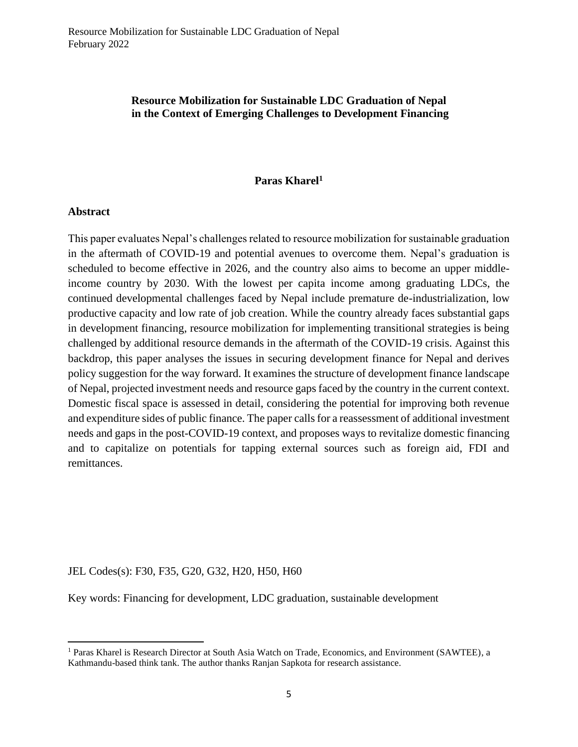#### **Resource Mobilization for Sustainable LDC Graduation of Nepal in the Context of Emerging Challenges to Development Financing**

#### **Paras Kharel<sup>1</sup>**

#### <span id="page-4-0"></span>**Abstract**

This paper evaluates Nepal's challenges related to resource mobilization for sustainable graduation in the aftermath of COVID-19 and potential avenues to overcome them. Nepal's graduation is scheduled to become effective in 2026, and the country also aims to become an upper middleincome country by 2030. With the lowest per capita income among graduating LDCs, the continued developmental challenges faced by Nepal include premature de-industrialization, low productive capacity and low rate of job creation. While the country already faces substantial gaps in development financing, resource mobilization for implementing transitional strategies is being challenged by additional resource demands in the aftermath of the COVID-19 crisis. Against this backdrop, this paper analyses the issues in securing development finance for Nepal and derives policy suggestion for the way forward. It examines the structure of development finance landscape of Nepal, projected investment needs and resource gaps faced by the country in the current context. Domestic fiscal space is assessed in detail, considering the potential for improving both revenue and expenditure sides of public finance. The paper calls for a reassessment of additional investment needs and gaps in the post-COVID-19 context, and proposes ways to revitalize domestic financing and to capitalize on potentials for tapping external sources such as foreign aid, FDI and remittances.

JEL Codes(s): F30, F35, G20, G32, H20, H50, H60

Key words: Financing for development, LDC graduation, sustainable development

<sup>1</sup> Paras Kharel is Research Director at South Asia Watch on Trade, Economics, and Environment (SAWTEE), a Kathmandu-based think tank. The author thanks Ranjan Sapkota for research assistance.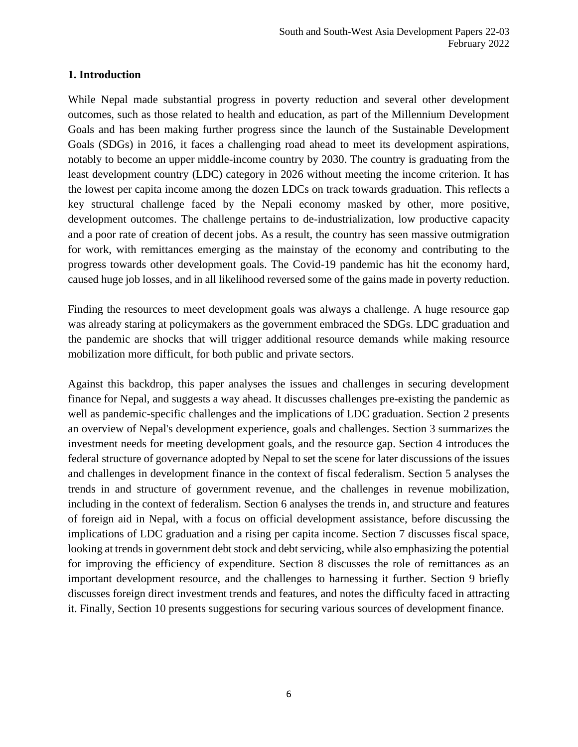#### <span id="page-5-0"></span>**1. Introduction**

While Nepal made substantial progress in poverty reduction and several other development outcomes, such as those related to health and education, as part of the Millennium Development Goals and has been making further progress since the launch of the Sustainable Development Goals (SDGs) in 2016, it faces a challenging road ahead to meet its development aspirations, notably to become an upper middle-income country by 2030. The country is graduating from the least development country (LDC) category in 2026 without meeting the income criterion. It has the lowest per capita income among the dozen LDCs on track towards graduation. This reflects a key structural challenge faced by the Nepali economy masked by other, more positive, development outcomes. The challenge pertains to de-industrialization, low productive capacity and a poor rate of creation of decent jobs. As a result, the country has seen massive outmigration for work, with remittances emerging as the mainstay of the economy and contributing to the progress towards other development goals. The Covid-19 pandemic has hit the economy hard, caused huge job losses, and in all likelihood reversed some of the gains made in poverty reduction.

Finding the resources to meet development goals was always a challenge. A huge resource gap was already staring at policymakers as the government embraced the SDGs. LDC graduation and the pandemic are shocks that will trigger additional resource demands while making resource mobilization more difficult, for both public and private sectors.

Against this backdrop, this paper analyses the issues and challenges in securing development finance for Nepal, and suggests a way ahead. It discusses challenges pre-existing the pandemic as well as pandemic-specific challenges and the implications of LDC graduation. Section 2 presents an overview of Nepal's development experience, goals and challenges. Section 3 summarizes the investment needs for meeting development goals, and the resource gap. Section 4 introduces the federal structure of governance adopted by Nepal to set the scene for later discussions of the issues and challenges in development finance in the context of fiscal federalism. Section 5 analyses the trends in and structure of government revenue, and the challenges in revenue mobilization, including in the context of federalism. Section 6 analyses the trends in, and structure and features of foreign aid in Nepal, with a focus on official development assistance, before discussing the implications of LDC graduation and a rising per capita income. Section 7 discusses fiscal space, looking at trends in government debt stock and debt servicing, while also emphasizing the potential for improving the efficiency of expenditure. Section 8 discusses the role of remittances as an important development resource, and the challenges to harnessing it further. Section 9 briefly discusses foreign direct investment trends and features, and notes the difficulty faced in attracting it. Finally, Section 10 presents suggestions for securing various sources of development finance.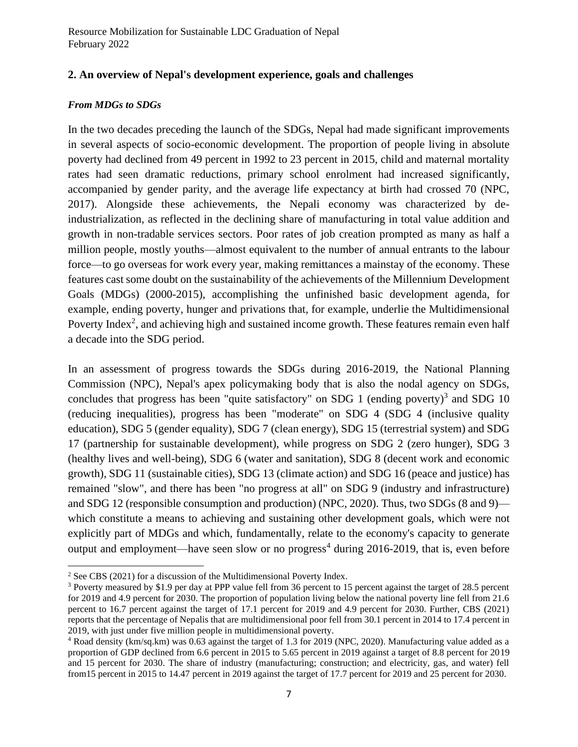## <span id="page-6-0"></span>**2. An overview of Nepal's development experience, goals and challenges**

#### *From MDGs to SDGs*

In the two decades preceding the launch of the SDGs, Nepal had made significant improvements in several aspects of socio-economic development. The proportion of people living in absolute poverty had declined from 49 percent in 1992 to 23 percent in 2015, child and maternal mortality rates had seen dramatic reductions, primary school enrolment had increased significantly, accompanied by gender parity, and the average life expectancy at birth had crossed 70 (NPC, 2017). Alongside these achievements, the Nepali economy was characterized by deindustrialization, as reflected in the declining share of manufacturing in total value addition and growth in non-tradable services sectors. Poor rates of job creation prompted as many as half a million people, mostly youths—almost equivalent to the number of annual entrants to the labour force—to go overseas for work every year, making remittances a mainstay of the economy. These features cast some doubt on the sustainability of the achievements of the Millennium Development Goals (MDGs) (2000-2015), accomplishing the unfinished basic development agenda, for example, ending poverty, hunger and privations that, for example, underlie the Multidimensional Poverty Index<sup>2</sup>, and achieving high and sustained income growth. These features remain even half a decade into the SDG period.

In an assessment of progress towards the SDGs during 2016-2019, the National Planning Commission (NPC), Nepal's apex policymaking body that is also the nodal agency on SDGs, concludes that progress has been "quite satisfactory" on SDG 1 (ending poverty) $3$  and SDG 10 (reducing inequalities), progress has been "moderate" on SDG 4 (SDG 4 (inclusive quality education), SDG 5 (gender equality), SDG 7 (clean energy), SDG 15 (terrestrial system) and SDG 17 (partnership for sustainable development), while progress on SDG 2 (zero hunger), SDG 3 (healthy lives and well-being), SDG 6 (water and sanitation), SDG 8 (decent work and economic growth), SDG 11 (sustainable cities), SDG 13 (climate action) and SDG 16 (peace and justice) has remained "slow", and there has been "no progress at all" on SDG 9 (industry and infrastructure) and SDG 12 (responsible consumption and production) (NPC, 2020). Thus, two SDGs (8 and 9) which constitute a means to achieving and sustaining other development goals, which were not explicitly part of MDGs and which, fundamentally, relate to the economy's capacity to generate output and employment—have seen slow or no progress<sup>4</sup> during  $2016-2019$ , that is, even before

 $2$  See CBS (2021) for a discussion of the Multidimensional Poverty Index.

<sup>3</sup> Poverty measured by \$1.9 per day at PPP value fell from 36 percent to 15 percent against the target of 28.5 percent for 2019 and 4.9 percent for 2030. The proportion of population living below the national poverty line fell from 21.6 percent to 16.7 percent against the target of 17.1 percent for 2019 and 4.9 percent for 2030. Further, CBS (2021) reports that the percentage of Nepalis that are multidimensional poor fell from 30.1 percent in 2014 to 17.4 percent in 2019, with just under five million people in multidimensional poverty.

<sup>4</sup> Road density (km/sq.km) was 0.63 against the target of 1.3 for 2019 (NPC, 2020). Manufacturing value added as a proportion of GDP declined from 6.6 percent in 2015 to 5.65 percent in 2019 against a target of 8.8 percent for 2019 and 15 percent for 2030. The share of industry (manufacturing; construction; and electricity, gas, and water) fell from15 percent in 2015 to 14.47 percent in 2019 against the target of 17.7 percent for 2019 and 25 percent for 2030.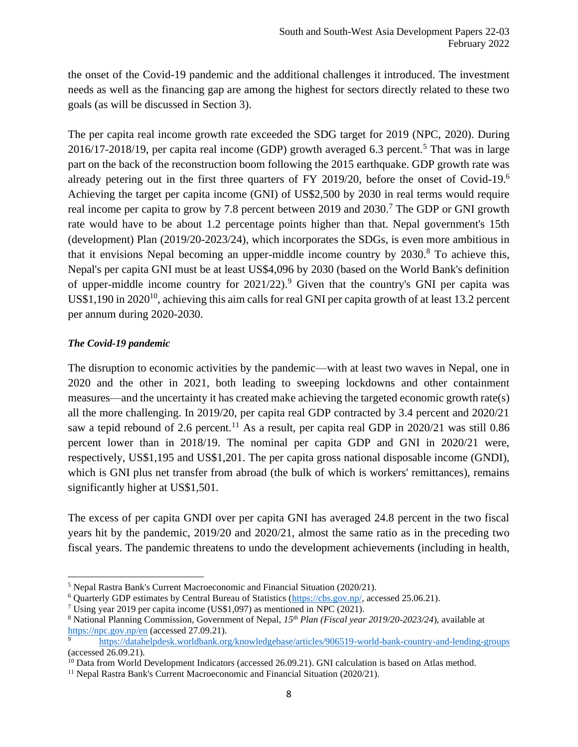the onset of the Covid-19 pandemic and the additional challenges it introduced. The investment needs as well as the financing gap are among the highest for sectors directly related to these two goals (as will be discussed in Section 3).

The per capita real income growth rate exceeded the SDG target for 2019 (NPC, 2020). During  $2016/17-2018/19$ , per capita real income (GDP) growth averaged 6.3 percent.<sup>5</sup> That was in large part on the back of the reconstruction boom following the 2015 earthquake. GDP growth rate was already petering out in the first three quarters of FY 2019/20, before the onset of Covid-19.<sup>6</sup> Achieving the target per capita income (GNI) of US\$2,500 by 2030 in real terms would require real income per capita to grow by 7.8 percent between 2019 and 2030.<sup>7</sup> The GDP or GNI growth rate would have to be about 1.2 percentage points higher than that. Nepal government's 15th (development) Plan (2019/20-2023/24), which incorporates the SDGs, is even more ambitious in that it envisions Nepal becoming an upper-middle income country by  $2030$ .<sup>8</sup> To achieve this, Nepal's per capita GNI must be at least US\$4,096 by 2030 (based on the World Bank's definition of upper-middle income country for  $2021/22$ ).<sup>9</sup> Given that the country's GNI per capita was US\$1,190 in 2020<sup>10</sup>, achieving this aim calls for real GNI per capita growth of at least 13.2 percent per annum during 2020-2030.

## *The Covid-19 pandemic*

The disruption to economic activities by the pandemic—with at least two waves in Nepal, one in 2020 and the other in 2021, both leading to sweeping lockdowns and other containment measures—and the uncertainty it has created make achieving the targeted economic growth rate(s) all the more challenging. In 2019/20, per capita real GDP contracted by 3.4 percent and 2020/21 saw a tepid rebound of 2.6 percent.<sup>11</sup> As a result, per capita real GDP in  $2020/21$  was still 0.86 percent lower than in 2018/19. The nominal per capita GDP and GNI in 2020/21 were, respectively, US\$1,195 and US\$1,201. The per capita gross national disposable income (GNDI), which is GNI plus net transfer from abroad (the bulk of which is workers' remittances), remains significantly higher at US\$1,501.

The excess of per capita GNDI over per capita GNI has averaged 24.8 percent in the two fiscal years hit by the pandemic, 2019/20 and 2020/21, almost the same ratio as in the preceding two fiscal years. The pandemic threatens to undo the development achievements (including in health,

<sup>5</sup> Nepal Rastra Bank's Current Macroeconomic and Financial Situation (2020/21).

<sup>&</sup>lt;sup>6</sup> Quarterly GDP estimates by Central Bureau of Statistics [\(https://cbs.gov.np/,](https://cbs.gov.np/) accessed 25.06.21).

<sup>&</sup>lt;sup>7</sup> Using year 2019 per capita income (US\$1,097) as mentioned in NPC (2021).

<sup>8</sup> National Planning Commission, Government of Nepal, *15th Plan (Fiscal year 2019/20-2023/24*), available at <https://npc.gov.np/en> (accessed 27.09.21).

<sup>9</sup> <https://datahelpdesk.worldbank.org/knowledgebase/articles/906519-world-bank-country-and-lending-groups> (accessed 26.09.21).

<sup>&</sup>lt;sup>10</sup> Data from World Development Indicators (accessed 26.09.21). GNI calculation is based on Atlas method.

<sup>&</sup>lt;sup>11</sup> Nepal Rastra Bank's Current Macroeconomic and Financial Situation (2020/21).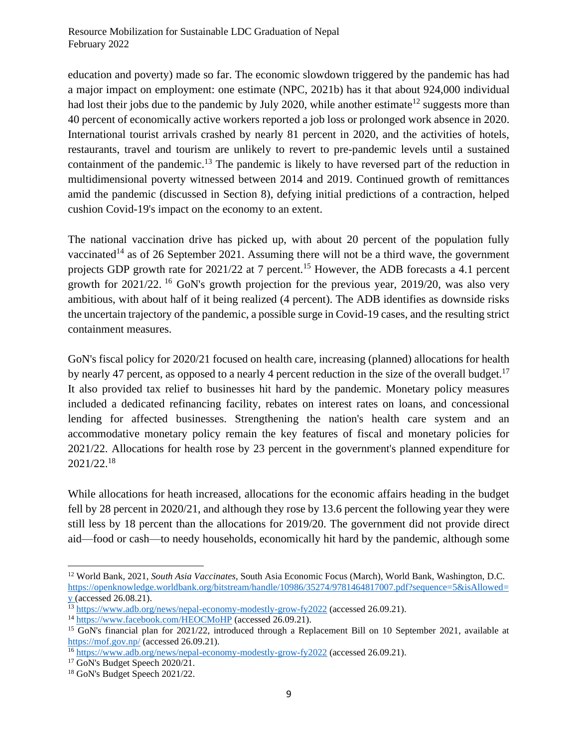education and poverty) made so far. The economic slowdown triggered by the pandemic has had a major impact on employment: one estimate (NPC, 2021b) has it that about 924,000 individual had lost their jobs due to the pandemic by July 2020, while another estimate<sup>12</sup> suggests more than 40 percent of economically active workers reported a job loss or prolonged work absence in 2020. International tourist arrivals crashed by nearly 81 percent in 2020, and the activities of hotels, restaurants, travel and tourism are unlikely to revert to pre-pandemic levels until a sustained containment of the pandemic.<sup>13</sup> The pandemic is likely to have reversed part of the reduction in multidimensional poverty witnessed between 2014 and 2019. Continued growth of remittances amid the pandemic (discussed in Section 8), defying initial predictions of a contraction, helped cushion Covid-19's impact on the economy to an extent.

The national vaccination drive has picked up, with about 20 percent of the population fully vaccinated<sup>14</sup> as of 26 September 2021. Assuming there will not be a third wave, the government projects GDP growth rate for 2021/22 at 7 percent.<sup>15</sup> However, the ADB forecasts a 4.1 percent growth for  $2021/22$ . <sup>16</sup> GoN's growth projection for the previous year,  $2019/20$ , was also very ambitious, with about half of it being realized (4 percent). The ADB identifies as downside risks the uncertain trajectory of the pandemic, a possible surge in Covid-19 cases, and the resulting strict containment measures.

GoN's fiscal policy for 2020/21 focused on health care, increasing (planned) allocations for health by nearly 47 percent, as opposed to a nearly 4 percent reduction in the size of the overall budget.<sup>17</sup> It also provided tax relief to businesses hit hard by the pandemic. Monetary policy measures included a dedicated refinancing facility, rebates on interest rates on loans, and concessional lending for affected businesses. Strengthening the nation's health care system and an accommodative monetary policy remain the key features of fiscal and monetary policies for 2021/22. Allocations for health rose by 23 percent in the government's planned expenditure for 2021/22.<sup>18</sup>

While allocations for heath increased, allocations for the economic affairs heading in the budget fell by 28 percent in 2020/21, and although they rose by 13.6 percent the following year they were still less by 18 percent than the allocations for 2019/20. The government did not provide direct aid—food or cash—to needy households, economically hit hard by the pandemic, although some

<sup>12</sup> World Bank, 2021, *South Asia Vaccinates*, South Asia Economic Focus (March), World Bank, Washington, D.C. [https://openknowledge.worldbank.org/bitstream/handle/10986/35274/9781464817007.pdf?sequence=5&isAllowed=](https://openknowledge.worldbank.org/bitstream/handle/10986/35274/9781464817007.pdf?sequence=5&isAllowed=y)  $\underline{y}$  $\underline{y}$  $\underline{y}$  (accessed 26.08.21).

<sup>&</sup>lt;sup>13</sup> <https://www.adb.org/news/nepal-economy-modestly-grow-fy2022> (accessed 26.09.21).

<sup>14</sup> <https://www.facebook.com/HEOCMoHP> (accessed 26.09.21).

<sup>&</sup>lt;sup>15</sup> GoN's financial plan for 2021/22, introduced through a Replacement Bill on 10 September 2021, available at <https://mof.gov.np/> (accessed 26.09.21).

<sup>&</sup>lt;sup>16</sup> <https://www.adb.org/news/nepal-economy-modestly-grow-fy2022> (accessed 26.09.21).

<sup>&</sup>lt;sup>17</sup> GoN's Budget Speech 2020/21.

<sup>18</sup> GoN's Budget Speech 2021/22.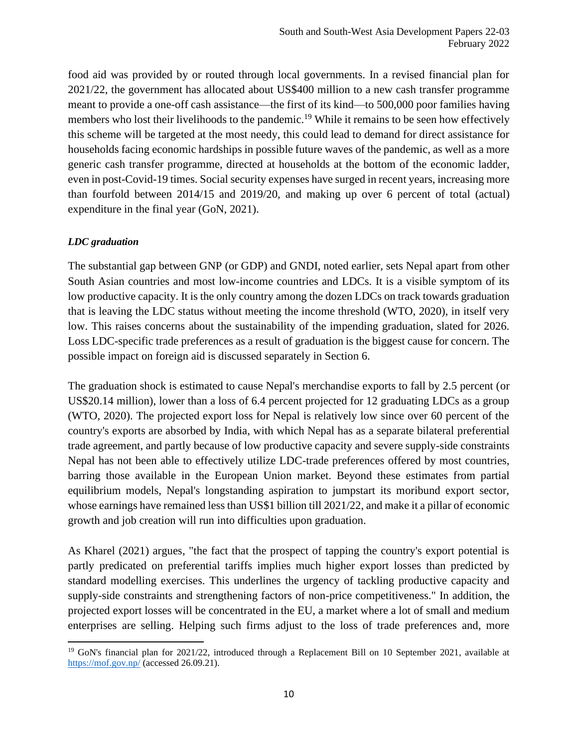food aid was provided by or routed through local governments. In a revised financial plan for 2021/22, the government has allocated about US\$400 million to a new cash transfer programme meant to provide a one-off cash assistance—the first of its kind—to 500,000 poor families having members who lost their livelihoods to the pandemic.<sup>19</sup> While it remains to be seen how effectively this scheme will be targeted at the most needy, this could lead to demand for direct assistance for households facing economic hardships in possible future waves of the pandemic, as well as a more generic cash transfer programme, directed at households at the bottom of the economic ladder, even in post-Covid-19 times. Social security expenses have surged in recent years, increasing more than fourfold between 2014/15 and 2019/20, and making up over 6 percent of total (actual) expenditure in the final year (GoN, 2021).

## *LDC graduation*

The substantial gap between GNP (or GDP) and GNDI, noted earlier, sets Nepal apart from other South Asian countries and most low-income countries and LDCs. It is a visible symptom of its low productive capacity. It is the only country among the dozen LDCs on track towards graduation that is leaving the LDC status without meeting the income threshold (WTO, 2020), in itself very low. This raises concerns about the sustainability of the impending graduation, slated for 2026. Loss LDC-specific trade preferences as a result of graduation is the biggest cause for concern. The possible impact on foreign aid is discussed separately in Section 6.

The graduation shock is estimated to cause Nepal's merchandise exports to fall by 2.5 percent (or US\$20.14 million), lower than a loss of 6.4 percent projected for 12 graduating LDCs as a group (WTO, 2020). The projected export loss for Nepal is relatively low since over 60 percent of the country's exports are absorbed by India, with which Nepal has as a separate bilateral preferential trade agreement, and partly because of low productive capacity and severe supply-side constraints Nepal has not been able to effectively utilize LDC-trade preferences offered by most countries, barring those available in the European Union market. Beyond these estimates from partial equilibrium models, Nepal's longstanding aspiration to jumpstart its moribund export sector, whose earnings have remained less than US\$1 billion till 2021/22, and make it a pillar of economic growth and job creation will run into difficulties upon graduation.

As Kharel (2021) argues, "the fact that the prospect of tapping the country's export potential is partly predicated on preferential tariffs implies much higher export losses than predicted by standard modelling exercises. This underlines the urgency of tackling productive capacity and supply-side constraints and strengthening factors of non-price competitiveness." In addition, the projected export losses will be concentrated in the EU, a market where a lot of small and medium enterprises are selling. Helping such firms adjust to the loss of trade preferences and, more

<sup>&</sup>lt;sup>19</sup> GoN's financial plan for 2021/22, introduced through a Replacement Bill on 10 September 2021, available at <https://mof.gov.np/> (accessed 26.09.21).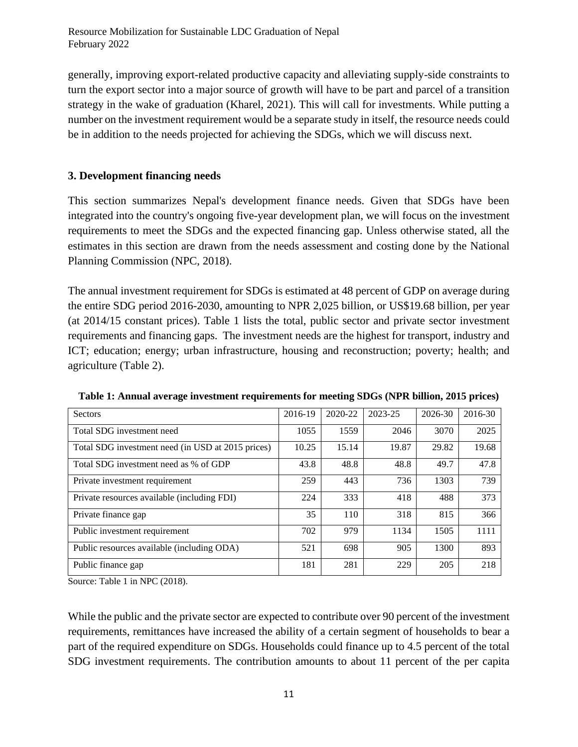Resource Mobilization for Sustainable LDC Graduation of Nepal February 2022

generally, improving export-related productive capacity and alleviating supply-side constraints to turn the export sector into a major source of growth will have to be part and parcel of a transition strategy in the wake of graduation (Kharel, 2021). This will call for investments. While putting a number on the investment requirement would be a separate study in itself, the resource needs could be in addition to the needs projected for achieving the SDGs, which we will discuss next.

## <span id="page-10-0"></span>**3. Development financing needs**

This section summarizes Nepal's development finance needs. Given that SDGs have been integrated into the country's ongoing five-year development plan, we will focus on the investment requirements to meet the SDGs and the expected financing gap. Unless otherwise stated, all the estimates in this section are drawn from the needs assessment and costing done by the National Planning Commission (NPC, 2018).

The annual investment requirement for SDGs is estimated at 48 percent of GDP on average during the entire SDG period 2016-2030, amounting to NPR 2,025 billion, or US\$19.68 billion, per year (at 2014/15 constant prices). Table 1 lists the total, public sector and private sector investment requirements and financing gaps. The investment needs are the highest for transport, industry and ICT; education; energy; urban infrastructure, housing and reconstruction; poverty; health; and agriculture (Table 2).

| Sectors                                           | 2016-19 | 2020-22 | 2023-25 | 2026-30 | 2016-30 |
|---------------------------------------------------|---------|---------|---------|---------|---------|
| Total SDG investment need                         | 1055    | 1559    | 2046    | 3070    | 2025    |
| Total SDG investment need (in USD at 2015 prices) | 10.25   | 15.14   | 19.87   | 29.82   | 19.68   |
| Total SDG investment need as % of GDP             | 43.8    | 48.8    | 48.8    | 49.7    | 47.8    |
| Private investment requirement                    | 259     | 443     | 736     | 1303    | 739     |
| Private resources available (including FDI)       | 224     | 333     | 418     | 488     | 373     |
| Private finance gap                               | 35      | 110     | 318     | 815     | 366     |
| Public investment requirement                     | 702     | 979     | 1134    | 1505    | 1111    |
| Public resources available (including ODA)        | 521     | 698     | 905     | 1300    | 893     |
| Public finance gap                                | 181     | 281     | 229     | 205     | 218     |

**Table 1: Annual average investment requirements for meeting SDGs (NPR billion, 2015 prices)**

Source: Table 1 in NPC (2018).

While the public and the private sector are expected to contribute over 90 percent of the investment requirements, remittances have increased the ability of a certain segment of households to bear a part of the required expenditure on SDGs. Households could finance up to 4.5 percent of the total SDG investment requirements. The contribution amounts to about 11 percent of the per capita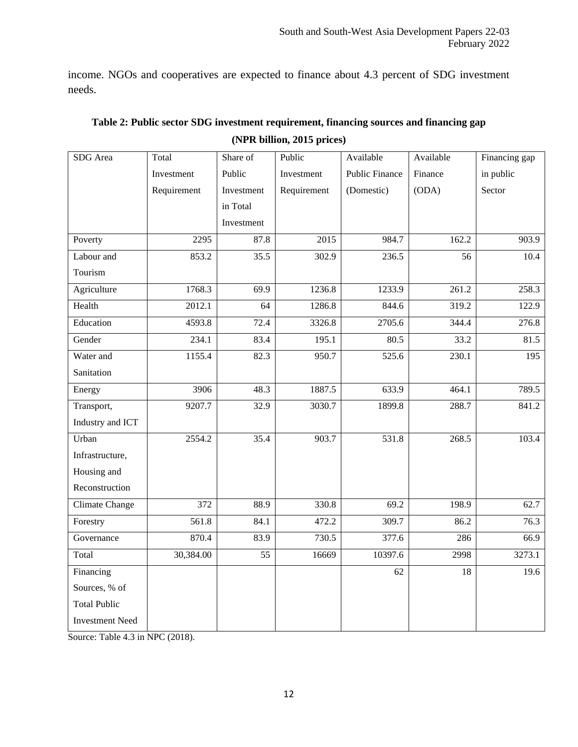income. NGOs and cooperatives are expected to finance about 4.3 percent of SDG investment needs.

| SDG Area               | Total       | Share of        | Public      | Available             | Available | Financing gap    |
|------------------------|-------------|-----------------|-------------|-----------------------|-----------|------------------|
|                        | Investment  | Public          | Investment  | <b>Public Finance</b> | Finance   | in public        |
|                        | Requirement | Investment      | Requirement | (Domestic)            | (ODA)     | Sector           |
|                        |             | in Total        |             |                       |           |                  |
|                        |             | Investment      |             |                       |           |                  |
| Poverty                | 2295        | 87.8            | 2015        | 984.7                 | 162.2     | 903.9            |
| Labour and             | 853.2       | 35.5            | 302.9       | 236.5                 | 56        | 10.4             |
| Tourism                |             |                 |             |                       |           |                  |
| Agriculture            | 1768.3      | 69.9            | 1236.8      | 1233.9                | 261.2     | 258.3            |
| Health                 | 2012.1      | 64              | 1286.8      | 844.6                 | 319.2     | 122.9            |
| Education              | 4593.8      | 72.4            | 3326.8      | 2705.6                | 344.4     | 276.8            |
| Gender                 | 234.1       | 83.4            | 195.1       | 80.5                  | 33.2      | 81.5             |
| Water and              | 1155.4      | 82.3            | 950.7       | 525.6                 | 230.1     | $\overline{195}$ |
| Sanitation             |             |                 |             |                       |           |                  |
| Energy                 | 3906        | 48.3            | 1887.5      | 633.9                 | 464.1     | 789.5            |
| Transport,             | 9207.7      | 32.9            | 3030.7      | 1899.8                | 288.7     | 841.2            |
| Industry and ICT       |             |                 |             |                       |           |                  |
| Urban                  | 2554.2      | 35.4            | 903.7       | 531.8                 | 268.5     | 103.4            |
| Infrastructure,        |             |                 |             |                       |           |                  |
| Housing and            |             |                 |             |                       |           |                  |
| Reconstruction         |             |                 |             |                       |           |                  |
| Climate Change         | 372         | 88.9            | 330.8       | 69.2                  | 198.9     | 62.7             |
| Forestry               | 561.8       | 84.1            | 472.2       | 309.7                 | 86.2      | 76.3             |
| Governance             | 870.4       | 83.9            | 730.5       | 377.6                 | 286       | 66.9             |
| Total                  | 30,384.00   | $\overline{55}$ | 16669       | 10397.6               | 2998      | 3273.1           |
| Financing              |             |                 |             | 62                    | 18        | 19.6             |
| Sources, % of          |             |                 |             |                       |           |                  |
| <b>Total Public</b>    |             |                 |             |                       |           |                  |
| <b>Investment Need</b> |             |                 |             |                       |           |                  |

| Table 2: Public sector SDG investment requirement, financing sources and financing gap |
|----------------------------------------------------------------------------------------|
| (NPR billion, 2015 prices)                                                             |

Source: Table 4.3 in NPC (2018).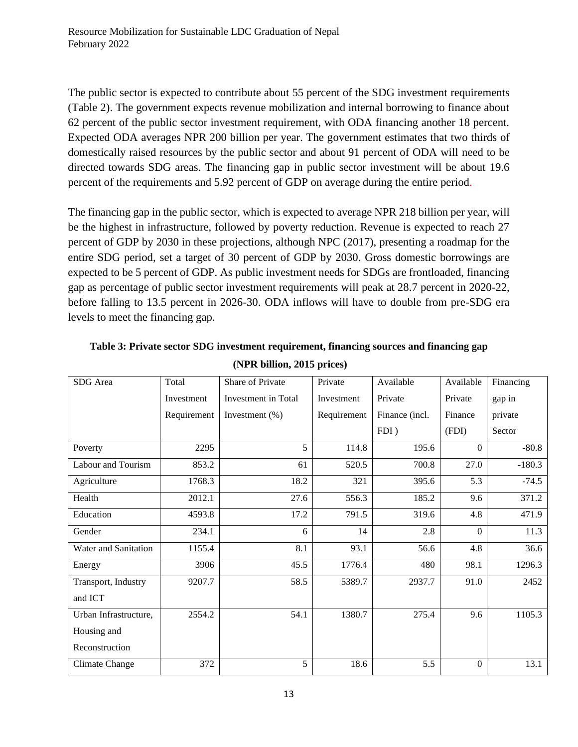The public sector is expected to contribute about 55 percent of the SDG investment requirements (Table 2). The government expects revenue mobilization and internal borrowing to finance about 62 percent of the public sector investment requirement, with ODA financing another 18 percent. Expected ODA averages NPR 200 billion per year. The government estimates that two thirds of domestically raised resources by the public sector and about 91 percent of ODA will need to be directed towards SDG areas. The financing gap in public sector investment will be about 19.6 percent of the requirements and 5.92 percent of GDP on average during the entire period.

The financing gap in the public sector, which is expected to average NPR 218 billion per year, will be the highest in infrastructure, followed by poverty reduction. Revenue is expected to reach 27 percent of GDP by 2030 in these projections, although NPC (2017), presenting a roadmap for the entire SDG period, set a target of 30 percent of GDP by 2030. Gross domestic borrowings are expected to be 5 percent of GDP. As public investment needs for SDGs are frontloaded, financing gap as percentage of public sector investment requirements will peak at 28.7 percent in 2020-22, before falling to 13.5 percent in 2026-30. ODA inflows will have to double from pre-SDG era levels to meet the financing gap.

| SDG Area              | Total       | Share of Private    | Private     | Available      | Available      | Financing |
|-----------------------|-------------|---------------------|-------------|----------------|----------------|-----------|
|                       | Investment  | Investment in Total | Investment  | Private        |                | gap in    |
|                       | Requirement | Investment $(\%)$   | Requirement | Finance (incl. | Finance        | private   |
|                       |             |                     |             | FDI)           | (FDI)          | Sector    |
| Poverty               | 2295        | 5                   | 114.8       | 195.6          | $\Omega$       | $-80.8$   |
| Labour and Tourism    | 853.2       | 61                  | 520.5       | 700.8          | 27.0           | $-180.3$  |
| Agriculture           | 1768.3      | 18.2                | 321         | 395.6          | 5.3            | $-74.5$   |
| Health                | 2012.1      | 27.6                | 556.3       | 185.2          | 9.6            | 371.2     |
| Education             | 4593.8      | 17.2                | 791.5       | 319.6          | 4.8            | 471.9     |
| Gender                | 234.1       | 6                   | 14          | 2.8            | $\theta$       | 11.3      |
| Water and Sanitation  | 1155.4      | 8.1                 | 93.1        | 56.6           | 4.8            | 36.6      |
| Energy                | 3906        | 45.5                | 1776.4      | 480            | 98.1           | 1296.3    |
| Transport, Industry   | 9207.7      | 58.5                | 5389.7      | 2937.7         | 91.0           | 2452      |
| and ICT               |             |                     |             |                |                |           |
| Urban Infrastructure, | 2554.2      | 54.1                | 1380.7      | 275.4          | 9.6            | 1105.3    |
| Housing and           |             |                     |             |                |                |           |
| Reconstruction        |             |                     |             |                |                |           |
| Climate Change        | 372         | 5                   | 18.6        | 5.5            | $\overline{0}$ | 13.1      |

**Table 3: Private sector SDG investment requirement, financing sources and financing gap (NPR billion, 2015 prices)**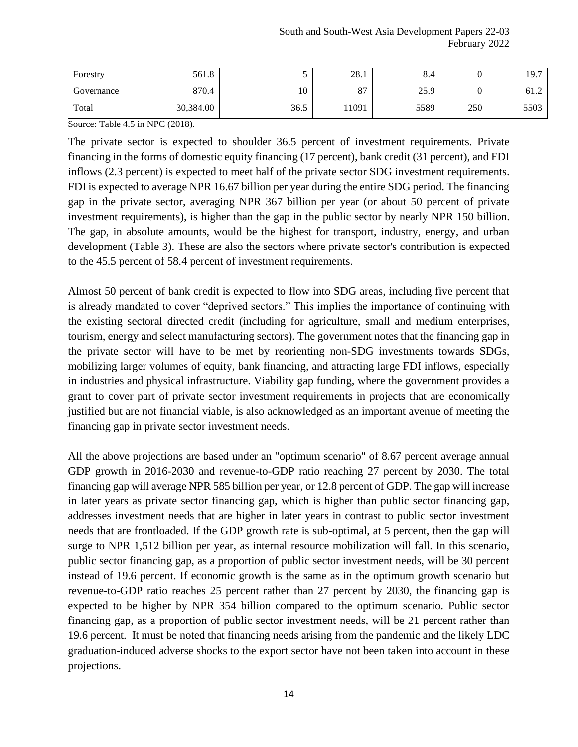| Forestry   | 561.8     |      | 28.1                 | 8.4  |     | 19.7 |
|------------|-----------|------|----------------------|------|-----|------|
| Governance | 870.4     | 10   | O <sub>7</sub><br>ŌΙ | 25.9 |     | 61.2 |
| Total      | 30,384.00 | 36.5 | 11091                | 5589 | 250 | 5503 |

Source: Table 4.5 in NPC (2018).

The private sector is expected to shoulder 36.5 percent of investment requirements. Private financing in the forms of domestic equity financing (17 percent), bank credit (31 percent), and FDI inflows (2.3 percent) is expected to meet half of the private sector SDG investment requirements. FDI is expected to average NPR 16.67 billion per year during the entire SDG period. The financing gap in the private sector, averaging NPR 367 billion per year (or about 50 percent of private investment requirements), is higher than the gap in the public sector by nearly NPR 150 billion. The gap, in absolute amounts, would be the highest for transport, industry, energy, and urban development (Table 3). These are also the sectors where private sector's contribution is expected to the 45.5 percent of 58.4 percent of investment requirements.

Almost 50 percent of bank credit is expected to flow into SDG areas, including five percent that is already mandated to cover "deprived sectors." This implies the importance of continuing with the existing sectoral directed credit (including for agriculture, small and medium enterprises, tourism, energy and select manufacturing sectors). The government notes that the financing gap in the private sector will have to be met by reorienting non-SDG investments towards SDGs, mobilizing larger volumes of equity, bank financing, and attracting large FDI inflows, especially in industries and physical infrastructure. Viability gap funding, where the government provides a grant to cover part of private sector investment requirements in projects that are economically justified but are not financial viable, is also acknowledged as an important avenue of meeting the financing gap in private sector investment needs.

All the above projections are based under an "optimum scenario" of 8.67 percent average annual GDP growth in 2016-2030 and revenue-to-GDP ratio reaching 27 percent by 2030. The total financing gap will average NPR 585 billion per year, or 12.8 percent of GDP. The gap will increase in later years as private sector financing gap, which is higher than public sector financing gap, addresses investment needs that are higher in later years in contrast to public sector investment needs that are frontloaded. If the GDP growth rate is sub-optimal, at 5 percent, then the gap will surge to NPR 1,512 billion per year, as internal resource mobilization will fall. In this scenario, public sector financing gap, as a proportion of public sector investment needs, will be 30 percent instead of 19.6 percent. If economic growth is the same as in the optimum growth scenario but revenue-to-GDP ratio reaches 25 percent rather than 27 percent by 2030, the financing gap is expected to be higher by NPR 354 billion compared to the optimum scenario. Public sector financing gap, as a proportion of public sector investment needs, will be 21 percent rather than 19.6 percent. It must be noted that financing needs arising from the pandemic and the likely LDC graduation-induced adverse shocks to the export sector have not been taken into account in these projections.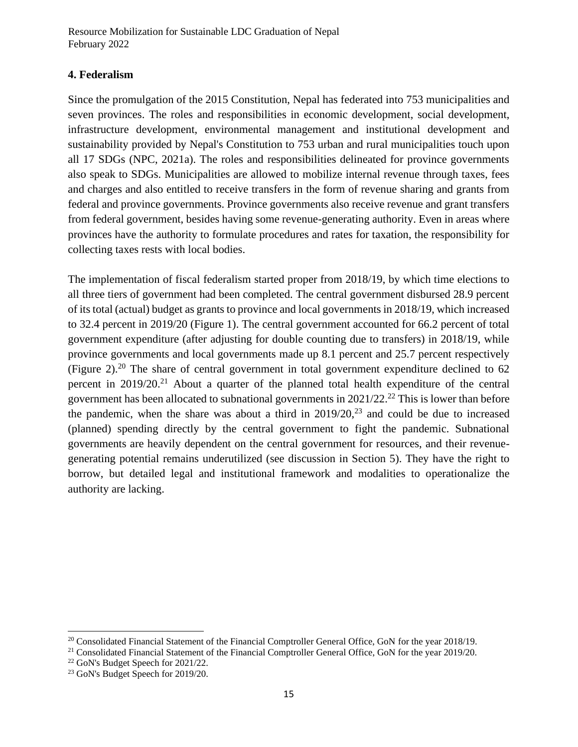Resource Mobilization for Sustainable LDC Graduation of Nepal February 2022

#### <span id="page-14-0"></span>**4. Federalism**

Since the promulgation of the 2015 Constitution, Nepal has federated into 753 municipalities and seven provinces. The roles and responsibilities in economic development, social development, infrastructure development, environmental management and institutional development and sustainability provided by Nepal's Constitution to 753 urban and rural municipalities touch upon all 17 SDGs (NPC, 2021a). The roles and responsibilities delineated for province governments also speak to SDGs. Municipalities are allowed to mobilize internal revenue through taxes, fees and charges and also entitled to receive transfers in the form of revenue sharing and grants from federal and province governments. Province governments also receive revenue and grant transfers from federal government, besides having some revenue-generating authority. Even in areas where provinces have the authority to formulate procedures and rates for taxation, the responsibility for collecting taxes rests with local bodies.

The implementation of fiscal federalism started proper from 2018/19, by which time elections to all three tiers of government had been completed. The central government disbursed 28.9 percent of its total (actual) budget as grants to province and local governments in 2018/19, which increased to 32.4 percent in 2019/20 (Figure 1). The central government accounted for 66.2 percent of total government expenditure (after adjusting for double counting due to transfers) in 2018/19, while province governments and local governments made up 8.1 percent and 25.7 percent respectively (Figure 2).<sup>20</sup> The share of central government in total government expenditure declined to 62 percent in 2019/20.<sup>21</sup> About a quarter of the planned total health expenditure of the central government has been allocated to subnational governments in  $2021/22$ <sup>22</sup> This is lower than before the pandemic, when the share was about a third in  $2019/20$ ,  $23$  and could be due to increased (planned) spending directly by the central government to fight the pandemic. Subnational governments are heavily dependent on the central government for resources, and their revenuegenerating potential remains underutilized (see discussion in Section 5). They have the right to borrow, but detailed legal and institutional framework and modalities to operationalize the authority are lacking.

<sup>&</sup>lt;sup>20</sup> Consolidated Financial Statement of the Financial Comptroller General Office, GoN for the year 2018/19.

<sup>&</sup>lt;sup>21</sup> Consolidated Financial Statement of the Financial Comptroller General Office, GoN for the year 2019/20.

<sup>22</sup> GoN's Budget Speech for 2021/22.

<sup>&</sup>lt;sup>23</sup> GoN's Budget Speech for 2019/20.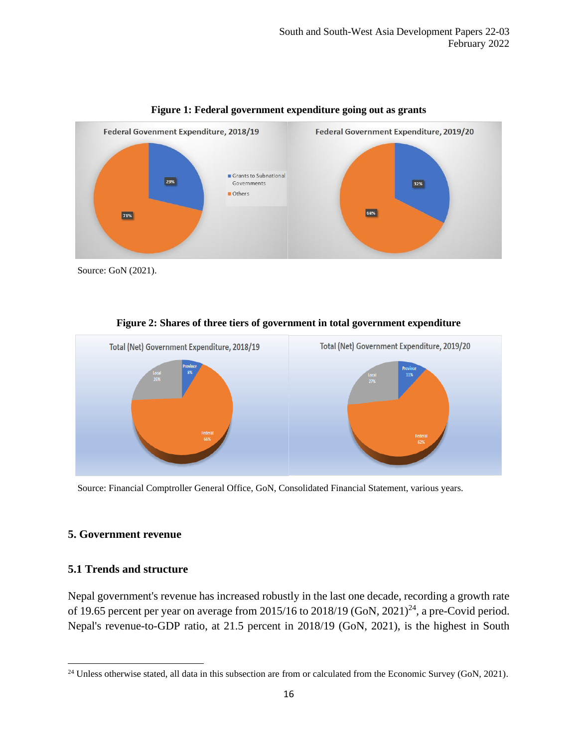

**Figure 1: Federal government expenditure going out as grants**

Source: GoN (2021).



**Figure 2: Shares of three tiers of government in total government expenditure**

Source: Financial Comptroller General Office, GoN, Consolidated Financial Statement, various years.

#### <span id="page-15-0"></span>**5. Government revenue**

#### <span id="page-15-1"></span>**5.1 Trends and structure**

Nepal government's revenue has increased robustly in the last one decade, recording a growth rate of 19.65 percent per year on average from  $2015/16$  to  $2018/19$  (GoN,  $2021$ )<sup>24</sup>, a pre-Covid period. Nepal's revenue-to-GDP ratio, at 21.5 percent in 2018/19 (GoN, 2021), is the highest in South

<sup>&</sup>lt;sup>24</sup> Unless otherwise stated, all data in this subsection are from or calculated from the Economic Survey (GoN, 2021).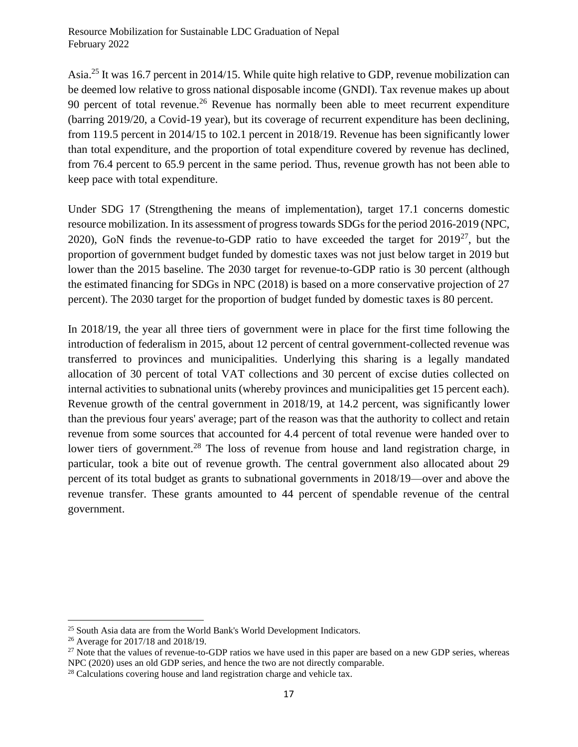Asia.<sup>25</sup> It was 16.7 percent in 2014/15. While quite high relative to GDP, revenue mobilization can be deemed low relative to gross national disposable income (GNDI). Tax revenue makes up about 90 percent of total revenue.<sup>26</sup> Revenue has normally been able to meet recurrent expenditure (barring 2019/20, a Covid-19 year), but its coverage of recurrent expenditure has been declining, from 119.5 percent in 2014/15 to 102.1 percent in 2018/19. Revenue has been significantly lower than total expenditure, and the proportion of total expenditure covered by revenue has declined, from 76.4 percent to 65.9 percent in the same period. Thus, revenue growth has not been able to keep pace with total expenditure.

Under SDG 17 (Strengthening the means of implementation), target 17.1 concerns domestic resource mobilization. In its assessment of progress towards SDGs for the period 2016-2019 (NPC, 2020), GoN finds the revenue-to-GDP ratio to have exceeded the target for  $2019^{27}$ , but the proportion of government budget funded by domestic taxes was not just below target in 2019 but lower than the 2015 baseline. The 2030 target for revenue-to-GDP ratio is 30 percent (although the estimated financing for SDGs in NPC (2018) is based on a more conservative projection of 27 percent). The 2030 target for the proportion of budget funded by domestic taxes is 80 percent.

In 2018/19, the year all three tiers of government were in place for the first time following the introduction of federalism in 2015, about 12 percent of central government-collected revenue was transferred to provinces and municipalities. Underlying this sharing is a legally mandated allocation of 30 percent of total VAT collections and 30 percent of excise duties collected on internal activities to subnational units (whereby provinces and municipalities get 15 percent each). Revenue growth of the central government in 2018/19, at 14.2 percent, was significantly lower than the previous four years' average; part of the reason was that the authority to collect and retain revenue from some sources that accounted for 4.4 percent of total revenue were handed over to lower tiers of government.<sup>28</sup> The loss of revenue from house and land registration charge, in particular, took a bite out of revenue growth. The central government also allocated about 29 percent of its total budget as grants to subnational governments in 2018/19—over and above the revenue transfer. These grants amounted to 44 percent of spendable revenue of the central government.

<sup>&</sup>lt;sup>25</sup> South Asia data are from the World Bank's World Development Indicators.

<sup>26</sup> Average for 2017/18 and 2018/19.

<sup>&</sup>lt;sup>27</sup> Note that the values of revenue-to-GDP ratios we have used in this paper are based on a new GDP series, whereas NPC (2020) uses an old GDP series, and hence the two are not directly comparable.

<sup>&</sup>lt;sup>28</sup> Calculations covering house and land registration charge and vehicle tax.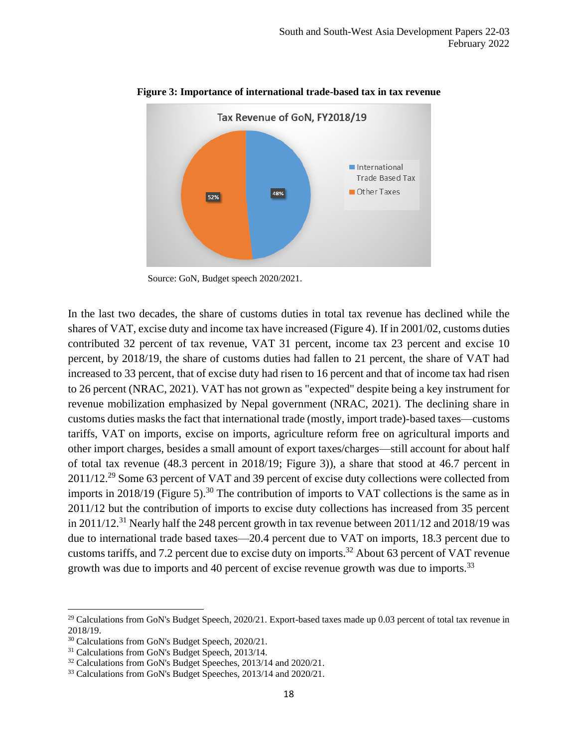

**Figure 3: Importance of international trade-based tax in tax revenue**

In the last two decades, the share of customs duties in total tax revenue has declined while the shares of VAT, excise duty and income tax have increased (Figure 4). If in 2001/02, customs duties contributed 32 percent of tax revenue, VAT 31 percent, income tax 23 percent and excise 10 percent, by 2018/19, the share of customs duties had fallen to 21 percent, the share of VAT had increased to 33 percent, that of excise duty had risen to 16 percent and that of income tax had risen to 26 percent (NRAC, 2021). VAT has not grown as "expected" despite being a key instrument for revenue mobilization emphasized by Nepal government (NRAC, 2021). The declining share in customs duties masks the fact that international trade (mostly, import trade)-based taxes—customs tariffs, VAT on imports, excise on imports, agriculture reform free on agricultural imports and other import charges, besides a small amount of export taxes/charges—still account for about half of total tax revenue (48.3 percent in 2018/19; Figure 3)), a share that stood at 46.7 percent in 2011/12.<sup>29</sup> Some 63 percent of VAT and 39 percent of excise duty collections were collected from imports in 2018/19 (Figure 5).<sup>30</sup> The contribution of imports to VAT collections is the same as in 2011/12 but the contribution of imports to excise duty collections has increased from 35 percent in 2011/12.<sup>31</sup> Nearly half the 248 percent growth in tax revenue between 2011/12 and 2018/19 was due to international trade based taxes—20.4 percent due to VAT on imports, 18.3 percent due to customs tariffs, and 7.2 percent due to excise duty on imports.<sup>32</sup> About 63 percent of VAT revenue growth was due to imports and 40 percent of excise revenue growth was due to imports.<sup>33</sup>

Source: GoN, Budget speech 2020/2021.

 $29$  Calculations from GoN's Budget Speech, 2020/21. Export-based taxes made up 0.03 percent of total tax revenue in 2018/19.

<sup>&</sup>lt;sup>30</sup> Calculations from GoN's Budget Speech, 2020/21.

<sup>&</sup>lt;sup>31</sup> Calculations from GoN's Budget Speech, 2013/14.

<sup>&</sup>lt;sup>32</sup> Calculations from GoN's Budget Speeches, 2013/14 and 2020/21.

<sup>&</sup>lt;sup>33</sup> Calculations from GoN's Budget Speeches, 2013/14 and 2020/21.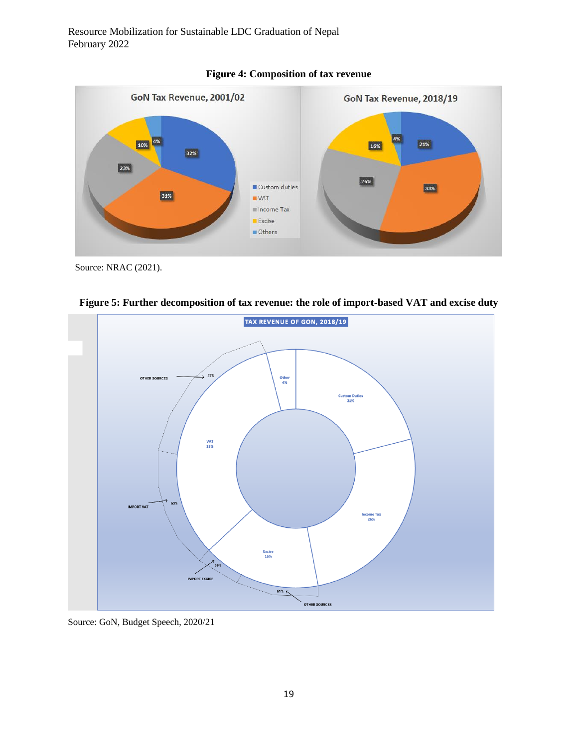



Source: NRAC (2021).



**Figure 5: Further decomposition of tax revenue: the role of import-based VAT and excise duty**

Source: GoN, Budget Speech, 2020/21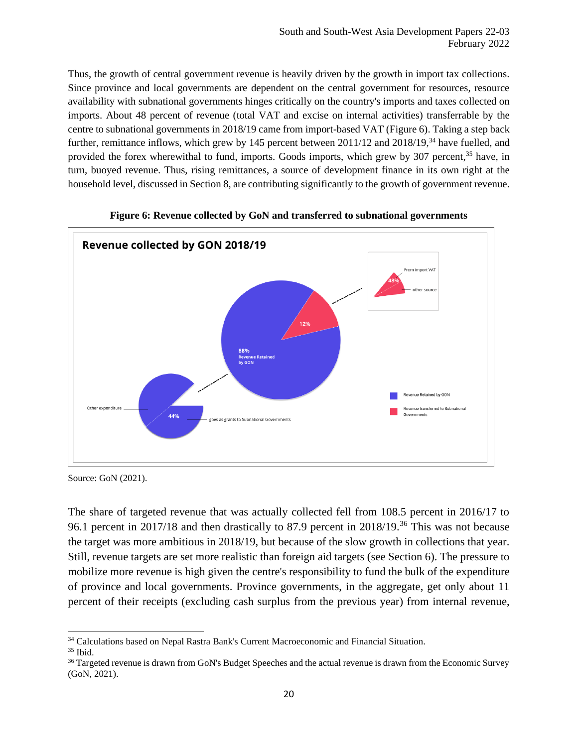Thus, the growth of central government revenue is heavily driven by the growth in import tax collections. Since province and local governments are dependent on the central government for resources, resource availability with subnational governments hinges critically on the country's imports and taxes collected on imports. About 48 percent of revenue (total VAT and excise on internal activities) transferrable by the centre to subnational governments in 2018/19 came from import-based VAT (Figure 6). Taking a step back further, remittance inflows, which grew by 145 percent between 2011/12 and 2018/19,<sup>34</sup> have fuelled, and provided the forex wherewithal to fund, imports. Goods imports, which grew by 307 percent,<sup>35</sup> have, in turn, buoyed revenue. Thus, rising remittances, a source of development finance in its own right at the household level, discussed in Section 8, are contributing significantly to the growth of government revenue.



**Figure 6: Revenue collected by GoN and transferred to subnational governments**

Source: GoN (2021).

The share of targeted revenue that was actually collected fell from 108.5 percent in 2016/17 to 96.1 percent in 2017/18 and then drastically to 87.9 percent in 2018/19.<sup>36</sup> This was not because the target was more ambitious in 2018/19, but because of the slow growth in collections that year. Still, revenue targets are set more realistic than foreign aid targets (see Section 6). The pressure to mobilize more revenue is high given the centre's responsibility to fund the bulk of the expenditure of province and local governments. Province governments, in the aggregate, get only about 11 percent of their receipts (excluding cash surplus from the previous year) from internal revenue,

<sup>34</sup> Calculations based on Nepal Rastra Bank's Current Macroeconomic and Financial Situation.

<sup>35</sup> Ibid.

<sup>&</sup>lt;sup>36</sup> Targeted revenue is drawn from GoN's Budget Speeches and the actual revenue is drawn from the Economic Survey (GoN, 2021).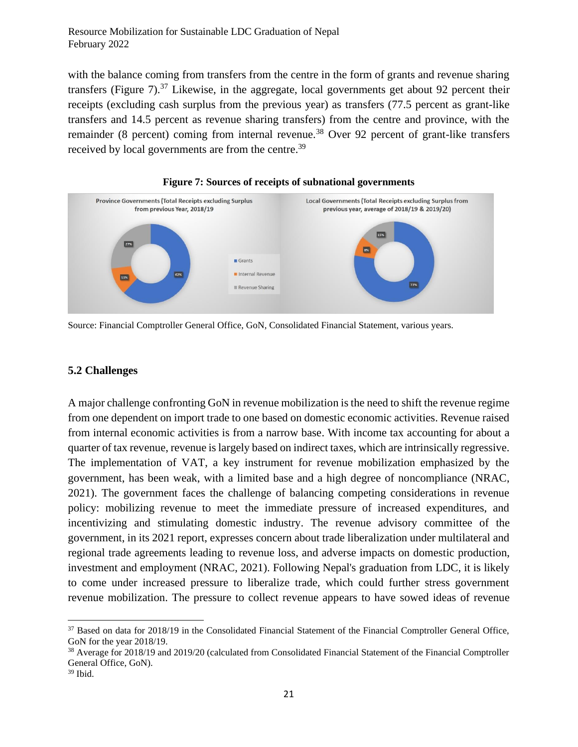with the balance coming from transfers from the centre in the form of grants and revenue sharing transfers (Figure 7).<sup>37</sup> Likewise, in the aggregate, local governments get about 92 percent their receipts (excluding cash surplus from the previous year) as transfers (77.5 percent as grant-like transfers and 14.5 percent as revenue sharing transfers) from the centre and province, with the remainder (8 percent) coming from internal revenue.<sup>38</sup> Over 92 percent of grant-like transfers received by local governments are from the centre.<sup>39</sup>





Source: Financial Comptroller General Office, GoN, Consolidated Financial Statement, various years.

#### <span id="page-20-0"></span>**5.2 Challenges**

A major challenge confronting GoN in revenue mobilization is the need to shift the revenue regime from one dependent on import trade to one based on domestic economic activities. Revenue raised from internal economic activities is from a narrow base. With income tax accounting for about a quarter of tax revenue, revenue is largely based on indirect taxes, which are intrinsically regressive. The implementation of VAT, a key instrument for revenue mobilization emphasized by the government, has been weak, with a limited base and a high degree of noncompliance (NRAC, 2021). The government faces the challenge of balancing competing considerations in revenue policy: mobilizing revenue to meet the immediate pressure of increased expenditures, and incentivizing and stimulating domestic industry. The revenue advisory committee of the government, in its 2021 report, expresses concern about trade liberalization under multilateral and regional trade agreements leading to revenue loss, and adverse impacts on domestic production, investment and employment (NRAC, 2021). Following Nepal's graduation from LDC, it is likely to come under increased pressure to liberalize trade, which could further stress government revenue mobilization. The pressure to collect revenue appears to have sowed ideas of revenue

<sup>&</sup>lt;sup>37</sup> Based on data for 2018/19 in the Consolidated Financial Statement of the Financial Comptroller General Office, GoN for the year 2018/19.

<sup>38</sup> Average for 2018/19 and 2019/20 (calculated from Consolidated Financial Statement of the Financial Comptroller General Office, GoN).

<sup>39</sup> Ibid.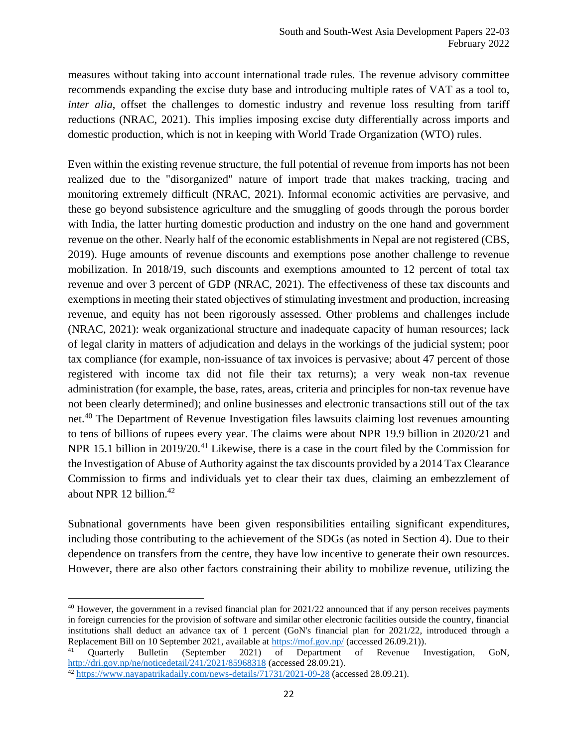measures without taking into account international trade rules. The revenue advisory committee recommends expanding the excise duty base and introducing multiple rates of VAT as a tool to, *inter alia*, offset the challenges to domestic industry and revenue loss resulting from tariff reductions (NRAC, 2021). This implies imposing excise duty differentially across imports and domestic production, which is not in keeping with World Trade Organization (WTO) rules.

Even within the existing revenue structure, the full potential of revenue from imports has not been realized due to the "disorganized" nature of import trade that makes tracking, tracing and monitoring extremely difficult (NRAC, 2021). Informal economic activities are pervasive, and these go beyond subsistence agriculture and the smuggling of goods through the porous border with India, the latter hurting domestic production and industry on the one hand and government revenue on the other. Nearly half of the economic establishments in Nepal are not registered (CBS, 2019). Huge amounts of revenue discounts and exemptions pose another challenge to revenue mobilization. In 2018/19, such discounts and exemptions amounted to 12 percent of total tax revenue and over 3 percent of GDP (NRAC, 2021). The effectiveness of these tax discounts and exemptions in meeting their stated objectives of stimulating investment and production, increasing revenue, and equity has not been rigorously assessed. Other problems and challenges include (NRAC, 2021): weak organizational structure and inadequate capacity of human resources; lack of legal clarity in matters of adjudication and delays in the workings of the judicial system; poor tax compliance (for example, non-issuance of tax invoices is pervasive; about 47 percent of those registered with income tax did not file their tax returns); a very weak non-tax revenue administration (for example, the base, rates, areas, criteria and principles for non-tax revenue have not been clearly determined); and online businesses and electronic transactions still out of the tax net.<sup>40</sup> The Department of Revenue Investigation files lawsuits claiming lost revenues amounting to tens of billions of rupees every year. The claims were about NPR 19.9 billion in 2020/21 and NPR 15.1 billion in 2019/20.<sup>41</sup> Likewise, there is a case in the court filed by the Commission for the Investigation of Abuse of Authority against the tax discounts provided by a 2014 Tax Clearance Commission to firms and individuals yet to clear their tax dues, claiming an embezzlement of about NPR 12 billion.<sup>42</sup>

Subnational governments have been given responsibilities entailing significant expenditures, including those contributing to the achievement of the SDGs (as noted in Section 4). Due to their dependence on transfers from the centre, they have low incentive to generate their own resources. However, there are also other factors constraining their ability to mobilize revenue, utilizing the

 $40$  However, the government in a revised financial plan for  $2021/22$  announced that if any person receives payments in foreign currencies for the provision of software and similar other electronic facilities outside the country, financial institutions shall deduct an advance tax of 1 percent (GoN's financial plan for 2021/22, introduced through a Replacement Bill on 10 September 2021, available at  $\frac{https://mof.gov,np/}{https://mof.gov,np/}}$  (accessed 26.09.21)).

<sup>41</sup> Quarterly Bulletin (September 2021) of Department of Revenue Investigation, GoN, <http://dri.gov.np/ne/noticedetail/241/2021/85968318> (accessed 28.09.21).

<sup>42</sup> <https://www.nayapatrikadaily.com/news-details/71731/2021-09-28> (accessed 28.09.21).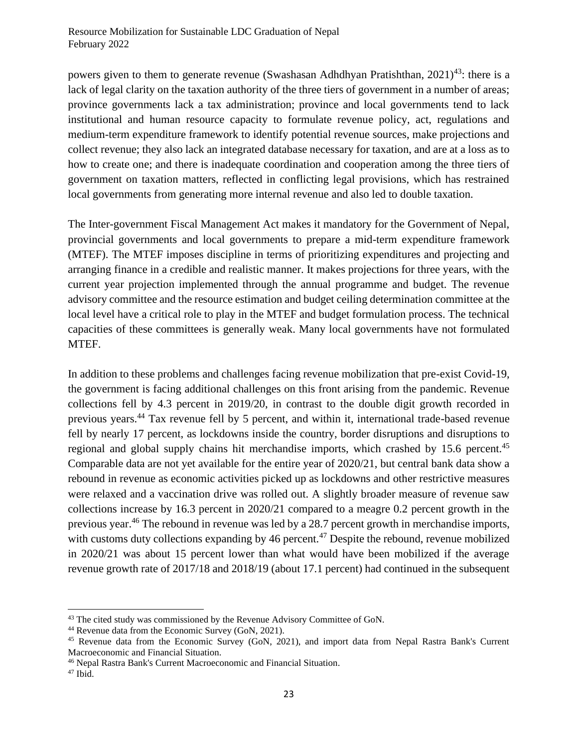powers given to them to generate revenue (Swashasan Adhdhyan Pratishthan, 2021)<sup>43</sup>: there is a lack of legal clarity on the taxation authority of the three tiers of government in a number of areas; province governments lack a tax administration; province and local governments tend to lack institutional and human resource capacity to formulate revenue policy, act, regulations and medium-term expenditure framework to identify potential revenue sources, make projections and collect revenue; they also lack an integrated database necessary for taxation, and are at a loss as to how to create one; and there is inadequate coordination and cooperation among the three tiers of government on taxation matters, reflected in conflicting legal provisions, which has restrained local governments from generating more internal revenue and also led to double taxation.

The Inter-government Fiscal Management Act makes it mandatory for the Government of Nepal, provincial governments and local governments to prepare a mid-term expenditure framework (MTEF). The MTEF imposes discipline in terms of prioritizing expenditures and projecting and arranging finance in a credible and realistic manner. It makes projections for three years, with the current year projection implemented through the annual programme and budget. The revenue advisory committee and the resource estimation and budget ceiling determination committee at the local level have a critical role to play in the MTEF and budget formulation process. The technical capacities of these committees is generally weak. Many local governments have not formulated MTEF.

In addition to these problems and challenges facing revenue mobilization that pre-exist Covid-19, the government is facing additional challenges on this front arising from the pandemic. Revenue collections fell by 4.3 percent in 2019/20, in contrast to the double digit growth recorded in previous years.<sup>44</sup> Tax revenue fell by 5 percent, and within it, international trade-based revenue fell by nearly 17 percent, as lockdowns inside the country, border disruptions and disruptions to regional and global supply chains hit merchandise imports, which crashed by 15.6 percent.<sup>45</sup> Comparable data are not yet available for the entire year of 2020/21, but central bank data show a rebound in revenue as economic activities picked up as lockdowns and other restrictive measures were relaxed and a vaccination drive was rolled out. A slightly broader measure of revenue saw collections increase by 16.3 percent in 2020/21 compared to a meagre 0.2 percent growth in the previous year.<sup>46</sup> The rebound in revenue was led by a 28.7 percent growth in merchandise imports, with customs duty collections expanding by 46 percent.<sup>47</sup> Despite the rebound, revenue mobilized in 2020/21 was about 15 percent lower than what would have been mobilized if the average revenue growth rate of 2017/18 and 2018/19 (about 17.1 percent) had continued in the subsequent

<sup>&</sup>lt;sup>43</sup> The cited study was commissioned by the Revenue Advisory Committee of GoN.

<sup>44</sup> Revenue data from the Economic Survey (GoN, 2021).

<sup>45</sup> Revenue data from the Economic Survey (GoN, 2021), and import data from Nepal Rastra Bank's Current Macroeconomic and Financial Situation.

<sup>46</sup> Nepal Rastra Bank's Current Macroeconomic and Financial Situation.

<sup>47</sup> Ibid.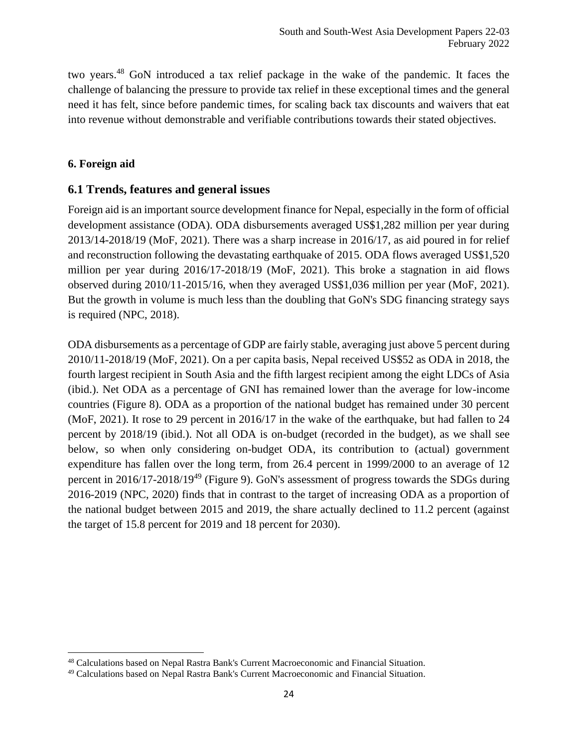two years.<sup>48</sup> GoN introduced a tax relief package in the wake of the pandemic. It faces the challenge of balancing the pressure to provide tax relief in these exceptional times and the general need it has felt, since before pandemic times, for scaling back tax discounts and waivers that eat into revenue without demonstrable and verifiable contributions towards their stated objectives.

#### <span id="page-23-0"></span>**6. Foreign aid**

## <span id="page-23-1"></span>**6.1 Trends, features and general issues**

Foreign aid is an important source development finance for Nepal, especially in the form of official development assistance (ODA). ODA disbursements averaged US\$1,282 million per year during 2013/14-2018/19 (MoF, 2021). There was a sharp increase in 2016/17, as aid poured in for relief and reconstruction following the devastating earthquake of 2015. ODA flows averaged US\$1,520 million per year during 2016/17-2018/19 (MoF, 2021). This broke a stagnation in aid flows observed during 2010/11-2015/16, when they averaged US\$1,036 million per year (MoF, 2021). But the growth in volume is much less than the doubling that GoN's SDG financing strategy says is required (NPC, 2018).

ODA disbursements as a percentage of GDP are fairly stable, averaging just above 5 percent during 2010/11-2018/19 (MoF, 2021). On a per capita basis, Nepal received US\$52 as ODA in 2018, the fourth largest recipient in South Asia and the fifth largest recipient among the eight LDCs of Asia (ibid.). Net ODA as a percentage of GNI has remained lower than the average for low-income countries (Figure 8). ODA as a proportion of the national budget has remained under 30 percent (MoF, 2021). It rose to 29 percent in 2016/17 in the wake of the earthquake, but had fallen to 24 percent by 2018/19 (ibid.). Not all ODA is on-budget (recorded in the budget), as we shall see below, so when only considering on-budget ODA, its contribution to (actual) government expenditure has fallen over the long term, from 26.4 percent in 1999/2000 to an average of 12 percent in 2016/17-2018/19<sup>49</sup> (Figure 9). GoN's assessment of progress towards the SDGs during 2016-2019 (NPC, 2020) finds that in contrast to the target of increasing ODA as a proportion of the national budget between 2015 and 2019, the share actually declined to 11.2 percent (against the target of 15.8 percent for 2019 and 18 percent for 2030).

<sup>48</sup> Calculations based on Nepal Rastra Bank's Current Macroeconomic and Financial Situation.

<sup>49</sup> Calculations based on Nepal Rastra Bank's Current Macroeconomic and Financial Situation.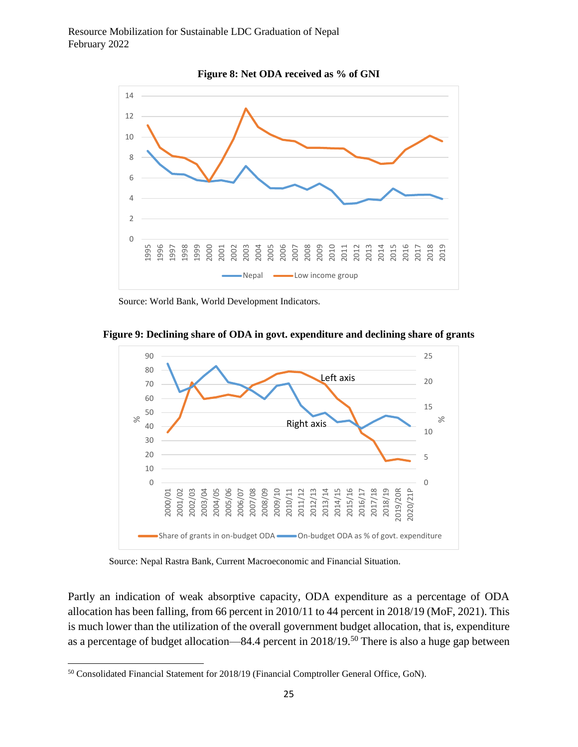

**Figure 8: Net ODA received as % of GNI**

Source: World Bank, World Development Indicators.



**Figure 9: Declining share of ODA in govt. expenditure and declining share of grants**

Source: Nepal Rastra Bank, Current Macroeconomic and Financial Situation.

Partly an indication of weak absorptive capacity, ODA expenditure as a percentage of ODA allocation has been falling, from 66 percent in 2010/11 to 44 percent in 2018/19 (MoF, 2021). This is much lower than the utilization of the overall government budget allocation, that is, expenditure as a percentage of budget allocation—84.4 percent in 2018/19.<sup>50</sup> There is also a huge gap between

<sup>50</sup> Consolidated Financial Statement for 2018/19 (Financial Comptroller General Office, GoN).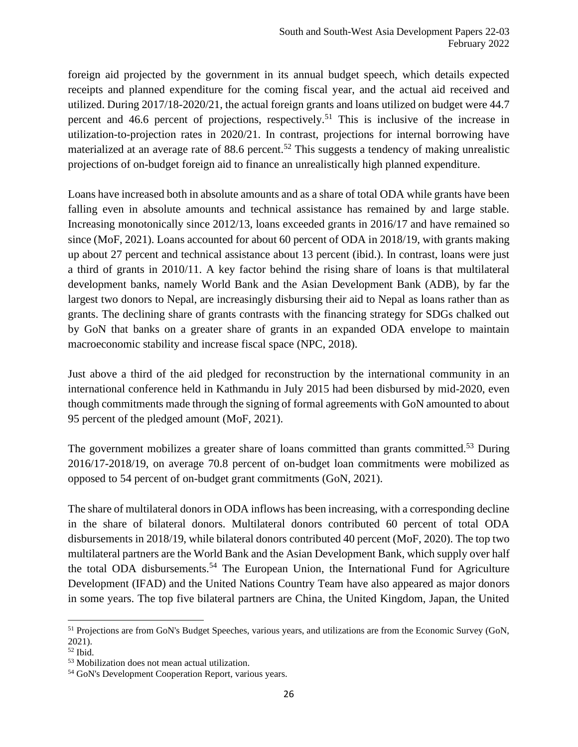foreign aid projected by the government in its annual budget speech, which details expected receipts and planned expenditure for the coming fiscal year, and the actual aid received and utilized. During 2017/18-2020/21, the actual foreign grants and loans utilized on budget were 44.7 percent and 46.6 percent of projections, respectively.<sup>51</sup> This is inclusive of the increase in utilization-to-projection rates in 2020/21. In contrast, projections for internal borrowing have materialized at an average rate of 88.6 percent.<sup>52</sup> This suggests a tendency of making unrealistic projections of on-budget foreign aid to finance an unrealistically high planned expenditure.

Loans have increased both in absolute amounts and as a share of total ODA while grants have been falling even in absolute amounts and technical assistance has remained by and large stable. Increasing monotonically since 2012/13, loans exceeded grants in 2016/17 and have remained so since (MoF, 2021). Loans accounted for about 60 percent of ODA in 2018/19, with grants making up about 27 percent and technical assistance about 13 percent (ibid.). In contrast, loans were just a third of grants in 2010/11. A key factor behind the rising share of loans is that multilateral development banks, namely World Bank and the Asian Development Bank (ADB), by far the largest two donors to Nepal, are increasingly disbursing their aid to Nepal as loans rather than as grants. The declining share of grants contrasts with the financing strategy for SDGs chalked out by GoN that banks on a greater share of grants in an expanded ODA envelope to maintain macroeconomic stability and increase fiscal space (NPC, 2018).

Just above a third of the aid pledged for reconstruction by the international community in an international conference held in Kathmandu in July 2015 had been disbursed by mid-2020, even though commitments made through the signing of formal agreements with GoN amounted to about 95 percent of the pledged amount (MoF, 2021).

The government mobilizes a greater share of loans committed than grants committed.<sup>53</sup> During 2016/17-2018/19, on average 70.8 percent of on-budget loan commitments were mobilized as opposed to 54 percent of on-budget grant commitments (GoN, 2021).

The share of multilateral donors in ODA inflows has been increasing, with a corresponding decline in the share of bilateral donors. Multilateral donors contributed 60 percent of total ODA disbursements in 2018/19, while bilateral donors contributed 40 percent (MoF, 2020). The top two multilateral partners are the World Bank and the Asian Development Bank, which supply over half the total ODA disbursements.<sup>54</sup> The European Union, the International Fund for Agriculture Development (IFAD) and the United Nations Country Team have also appeared as major donors in some years. The top five bilateral partners are China, the United Kingdom, Japan, the United

<sup>51</sup> Projections are from GoN's Budget Speeches, various years, and utilizations are from the Economic Survey (GoN, 2021).

<sup>52</sup> Ibid.

<sup>53</sup> Mobilization does not mean actual utilization.

<sup>54</sup> GoN's Development Cooperation Report, various years.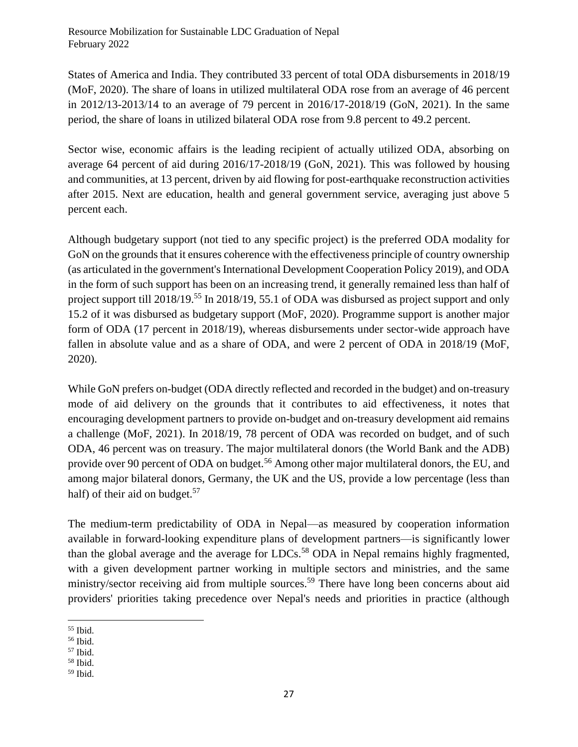States of America and India. They contributed 33 percent of total ODA disbursements in 2018/19 (MoF, 2020). The share of loans in utilized multilateral ODA rose from an average of 46 percent in 2012/13-2013/14 to an average of 79 percent in 2016/17-2018/19 (GoN, 2021). In the same period, the share of loans in utilized bilateral ODA rose from 9.8 percent to 49.2 percent.

Sector wise, economic affairs is the leading recipient of actually utilized ODA, absorbing on average 64 percent of aid during 2016/17-2018/19 (GoN, 2021). This was followed by housing and communities, at 13 percent, driven by aid flowing for post-earthquake reconstruction activities after 2015. Next are education, health and general government service, averaging just above 5 percent each.

Although budgetary support (not tied to any specific project) is the preferred ODA modality for GoN on the grounds that it ensures coherence with the effectiveness principle of country ownership (as articulated in the government's International Development Cooperation Policy 2019), and ODA in the form of such support has been on an increasing trend, it generally remained less than half of project support till 2018/19.<sup>55</sup> In 2018/19, 55.1 of ODA was disbursed as project support and only 15.2 of it was disbursed as budgetary support (MoF, 2020). Programme support is another major form of ODA (17 percent in 2018/19), whereas disbursements under sector-wide approach have fallen in absolute value and as a share of ODA, and were 2 percent of ODA in 2018/19 (MoF, 2020).

While GoN prefers on-budget (ODA directly reflected and recorded in the budget) and on-treasury mode of aid delivery on the grounds that it contributes to aid effectiveness, it notes that encouraging development partners to provide on-budget and on-treasury development aid remains a challenge (MoF, 2021). In 2018/19, 78 percent of ODA was recorded on budget, and of such ODA, 46 percent was on treasury. The major multilateral donors (the World Bank and the ADB) provide over 90 percent of ODA on budget.<sup>56</sup> Among other major multilateral donors, the EU, and among major bilateral donors, Germany, the UK and the US, provide a low percentage (less than half) of their aid on budget. $57$ 

The medium-term predictability of ODA in Nepal—as measured by cooperation information available in forward-looking expenditure plans of development partners—is significantly lower than the global average and the average for  $LDCs$ <sup>58</sup> ODA in Nepal remains highly fragmented, with a given development partner working in multiple sectors and ministries, and the same ministry/sector receiving aid from multiple sources.<sup>59</sup> There have long been concerns about aid providers' priorities taking precedence over Nepal's needs and priorities in practice (although

<sup>55</sup> Ibid.

<sup>56</sup> Ibid.

<sup>57</sup> Ibid.

<sup>58</sup> Ibid.

<sup>59</sup> Ibid.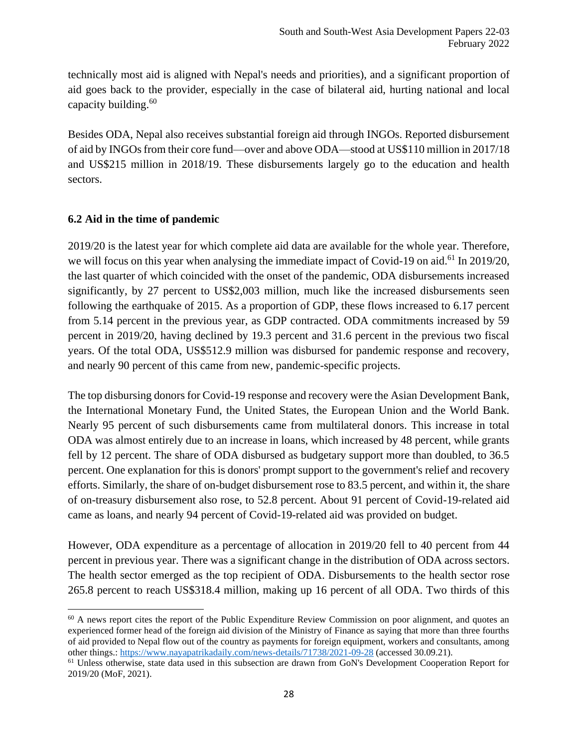technically most aid is aligned with Nepal's needs and priorities), and a significant proportion of aid goes back to the provider, especially in the case of bilateral aid, hurting national and local capacity building. $60$ 

Besides ODA, Nepal also receives substantial foreign aid through INGOs. Reported disbursement of aid by INGOs from their core fund—over and above ODA—stood at US\$110 million in 2017/18 and US\$215 million in 2018/19. These disbursements largely go to the education and health sectors.

## <span id="page-27-0"></span>**6.2 Aid in the time of pandemic**

2019/20 is the latest year for which complete aid data are available for the whole year. Therefore, we will focus on this year when analysing the immediate impact of Covid-19 on aid.<sup>61</sup> In 2019/20, the last quarter of which coincided with the onset of the pandemic, ODA disbursements increased significantly, by 27 percent to US\$2,003 million, much like the increased disbursements seen following the earthquake of 2015. As a proportion of GDP, these flows increased to 6.17 percent from 5.14 percent in the previous year, as GDP contracted. ODA commitments increased by 59 percent in 2019/20, having declined by 19.3 percent and 31.6 percent in the previous two fiscal years. Of the total ODA, US\$512.9 million was disbursed for pandemic response and recovery, and nearly 90 percent of this came from new, pandemic-specific projects.

The top disbursing donors for Covid-19 response and recovery were the Asian Development Bank, the International Monetary Fund, the United States, the European Union and the World Bank. Nearly 95 percent of such disbursements came from multilateral donors. This increase in total ODA was almost entirely due to an increase in loans, which increased by 48 percent, while grants fell by 12 percent. The share of ODA disbursed as budgetary support more than doubled, to 36.5 percent. One explanation for this is donors' prompt support to the government's relief and recovery efforts. Similarly, the share of on-budget disbursement rose to 83.5 percent, and within it, the share of on-treasury disbursement also rose, to 52.8 percent. About 91 percent of Covid-19-related aid came as loans, and nearly 94 percent of Covid-19-related aid was provided on budget.

However, ODA expenditure as a percentage of allocation in 2019/20 fell to 40 percent from 44 percent in previous year. There was a significant change in the distribution of ODA across sectors. The health sector emerged as the top recipient of ODA. Disbursements to the health sector rose 265.8 percent to reach US\$318.4 million, making up 16 percent of all ODA. Two thirds of this

<sup>&</sup>lt;sup>60</sup> A news report cites the report of the Public Expenditure Review Commission on poor alignment, and quotes an experienced former head of the foreign aid division of the Ministry of Finance as saying that more than three fourths of aid provided to Nepal flow out of the country as payments for foreign equipment, workers and consultants, among other things.:<https://www.nayapatrikadaily.com/news-details/71738/2021-09-28> (accessed 30.09.21).

<sup>&</sup>lt;sup>61</sup> Unless otherwise, state data used in this subsection are drawn from GoN's Development Cooperation Report for 2019/20 (MoF, 2021).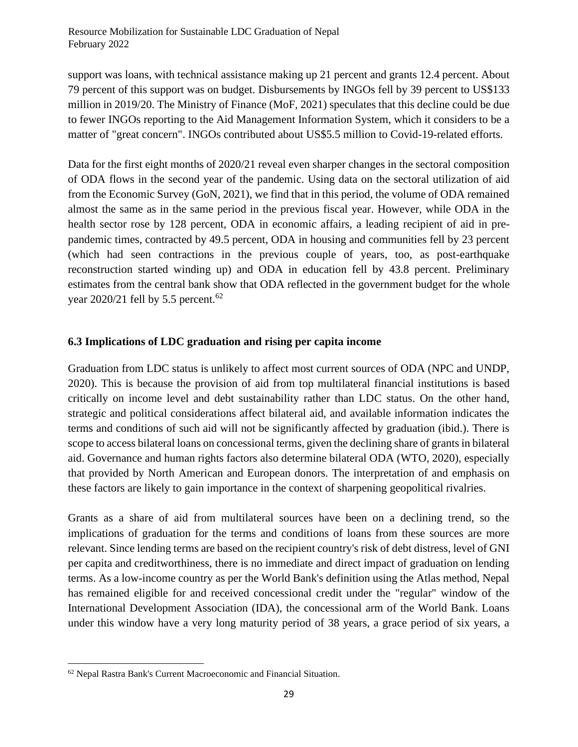support was loans, with technical assistance making up 21 percent and grants 12.4 percent. About 79 percent of this support was on budget. Disbursements by INGOs fell by 39 percent to US\$133 million in 2019/20. The Ministry of Finance (MoF, 2021) speculates that this decline could be due to fewer INGOs reporting to the Aid Management Information System, which it considers to be a matter of "great concern". INGOs contributed about US\$5.5 million to Covid-19-related efforts.

Data for the first eight months of 2020/21 reveal even sharper changes in the sectoral composition of ODA flows in the second year of the pandemic. Using data on the sectoral utilization of aid from the Economic Survey (GoN, 2021), we find that in this period, the volume of ODA remained almost the same as in the same period in the previous fiscal year. However, while ODA in the health sector rose by 128 percent, ODA in economic affairs, a leading recipient of aid in prepandemic times, contracted by 49.5 percent, ODA in housing and communities fell by 23 percent (which had seen contractions in the previous couple of years, too, as post-earthquake reconstruction started winding up) and ODA in education fell by 43.8 percent. Preliminary estimates from the central bank show that ODA reflected in the government budget for the whole year 2020/21 fell by 5.5 percent.<sup>62</sup>

## <span id="page-28-0"></span>**6.3 Implications of LDC graduation and rising per capita income**

Graduation from LDC status is unlikely to affect most current sources of ODA (NPC and UNDP, 2020). This is because the provision of aid from top multilateral financial institutions is based critically on income level and debt sustainability rather than LDC status. On the other hand, strategic and political considerations affect bilateral aid, and available information indicates the terms and conditions of such aid will not be significantly affected by graduation (ibid.). There is scope to access bilateral loans on concessional terms, given the declining share of grants in bilateral aid. Governance and human rights factors also determine bilateral ODA (WTO, 2020), especially that provided by North American and European donors. The interpretation of and emphasis on these factors are likely to gain importance in the context of sharpening geopolitical rivalries.

Grants as a share of aid from multilateral sources have been on a declining trend, so the implications of graduation for the terms and conditions of loans from these sources are more relevant. Since lending terms are based on the recipient country's risk of debt distress, level of GNI per capita and creditworthiness, there is no immediate and direct impact of graduation on lending terms. As a low-income country as per the World Bank's definition using the Atlas method, Nepal has remained eligible for and received concessional credit under the "regular" window of the International Development Association (IDA), the concessional arm of the World Bank. Loans under this window have a very long maturity period of 38 years, a grace period of six years, a

<sup>62</sup> Nepal Rastra Bank's Current Macroeconomic and Financial Situation.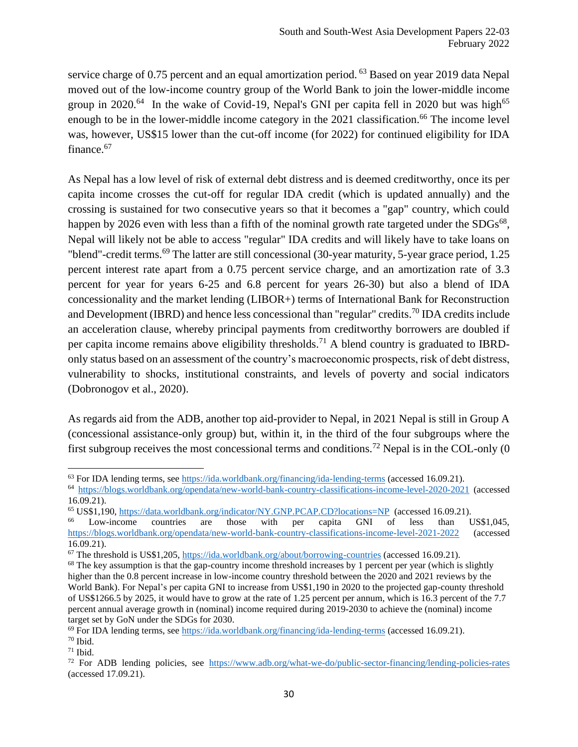service charge of 0.75 percent and an equal amortization period. <sup>63</sup> Based on year 2019 data Nepal moved out of the low-income country group of the World Bank to join the lower-middle income group in 2020.<sup>64</sup> In the wake of Covid-19, Nepal's GNI per capita fell in 2020 but was high<sup>65</sup> enough to be in the lower-middle income category in the 2021 classification.<sup>66</sup> The income level was, however, US\$15 lower than the cut-off income (for 2022) for continued eligibility for IDA finance.<sup>67</sup>

As Nepal has a low level of risk of external debt distress and is deemed creditworthy, once its per capita income crosses the cut-off for regular IDA credit (which is updated annually) and the crossing is sustained for two consecutive years so that it becomes a "gap" country, which could happen by 2026 even with less than a fifth of the nominal growth rate targeted under the  $SDGs^{68}$ , Nepal will likely not be able to access "regular" IDA credits and will likely have to take loans on "blend"-credit terms.<sup>69</sup> The latter are still concessional (30-year maturity, 5-year grace period, 1.25) percent interest rate apart from a 0.75 percent service charge, and an amortization rate of 3.3 percent for year for years 6-25 and 6.8 percent for years 26-30) but also a blend of IDA concessionality and the market lending (LIBOR+) terms of International Bank for Reconstruction and Development (IBRD) and hence less concessional than "regular" credits.<sup>70</sup> IDA credits include an acceleration clause, whereby principal payments from creditworthy borrowers are doubled if per capita income remains above eligibility thresholds.<sup>71</sup> A blend country is graduated to IBRDonly status based on an assessment of the country's macroeconomic prospects, risk of debt distress, vulnerability to shocks, institutional constraints, and levels of poverty and social indicators (Dobronogov et al., 2020).

As regards aid from the ADB, another top aid-provider to Nepal, in 2021 Nepal is still in Group A (concessional assistance-only group) but, within it, in the third of the four subgroups where the first subgroup receives the most concessional terms and conditions.<sup>72</sup> Nepal is in the COL-only  $(0)$ 

<sup>63</sup> For IDA lending terms, se[e https://ida.worldbank.org/financing/ida-lending-terms](https://ida.worldbank.org/financing/ida-lending-terms) (accessed 16.09.21).

<sup>64</sup> <https://blogs.worldbank.org/opendata/new-world-bank-country-classifications-income-level-2020-2021> (accessed 16.09.21).

<sup>65</sup> US\$1,190,<https://data.worldbank.org/indicator/NY.GNP.PCAP.CD?locations=NP>(accessed 16.09.21).

Low-income countries are those with per capita GNI of less than US\$1,045, <https://blogs.worldbank.org/opendata/new-world-bank-country-classifications-income-level-2021-2022> (accessed 16.09.21).

<sup>67</sup> The threshold is US\$1,205,<https://ida.worldbank.org/about/borrowing-countries> (accessed 16.09.21).

<sup>&</sup>lt;sup>68</sup> The key assumption is that the gap-country income threshold increases by 1 percent per year (which is slightly higher than the 0.8 percent increase in low-income country threshold between the 2020 and 2021 reviews by the World Bank). For Nepal's per capita GNI to increase from US\$1,190 in 2020 to the projected gap-county threshold of US\$1266.5 by 2025, it would have to grow at the rate of 1.25 percent per annum, which is 16.3 percent of the 7.7 percent annual average growth in (nominal) income required during 2019-2030 to achieve the (nominal) income target set by GoN under the SDGs for 2030.

<sup>69</sup> For IDA lending terms, se[e https://ida.worldbank.org/financing/ida-lending-terms](https://ida.worldbank.org/financing/ida-lending-terms) (accessed 16.09.21).

 $70$  Ibid.

 $71$  Ibid.

<sup>72</sup> For ADB lending policies, see <https://www.adb.org/what-we-do/public-sector-financing/lending-policies-rates> (accessed 17.09.21).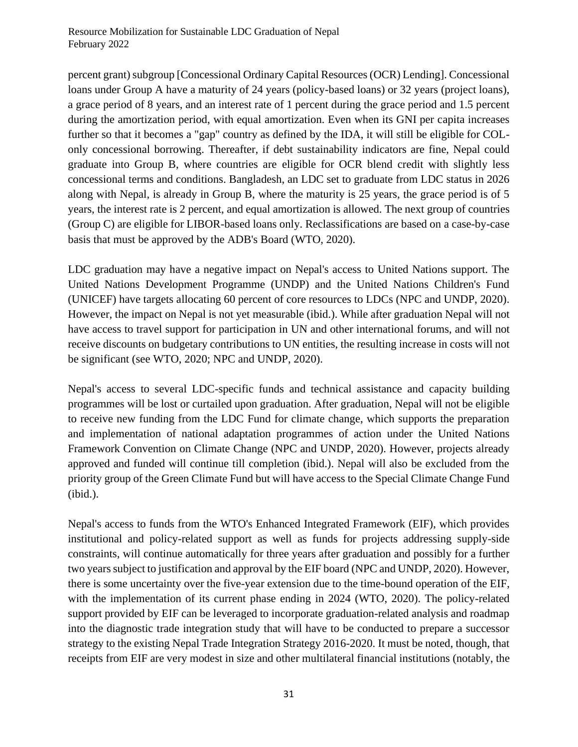percent grant) subgroup [Concessional Ordinary Capital Resources (OCR) Lending]. Concessional loans under Group A have a maturity of 24 years (policy-based loans) or 32 years (project loans), a grace period of 8 years, and an interest rate of 1 percent during the grace period and 1.5 percent during the amortization period, with equal amortization. Even when its GNI per capita increases further so that it becomes a "gap" country as defined by the IDA, it will still be eligible for COLonly concessional borrowing. Thereafter, if debt sustainability indicators are fine, Nepal could graduate into Group B, where countries are eligible for OCR blend credit with slightly less concessional terms and conditions. Bangladesh, an LDC set to graduate from LDC status in 2026 along with Nepal, is already in Group B, where the maturity is 25 years, the grace period is of 5 years, the interest rate is 2 percent, and equal amortization is allowed. The next group of countries (Group C) are eligible for LIBOR-based loans only. Reclassifications are based on a case-by-case basis that must be approved by the ADB's Board (WTO, 2020).

LDC graduation may have a negative impact on Nepal's access to United Nations support. The United Nations Development Programme (UNDP) and the United Nations Children's Fund (UNICEF) have targets allocating 60 percent of core resources to LDCs (NPC and UNDP, 2020). However, the impact on Nepal is not yet measurable (ibid.). While after graduation Nepal will not have access to travel support for participation in UN and other international forums, and will not receive discounts on budgetary contributions to UN entities, the resulting increase in costs will not be significant (see WTO, 2020; NPC and UNDP, 2020).

Nepal's access to several LDC-specific funds and technical assistance and capacity building programmes will be lost or curtailed upon graduation. After graduation, Nepal will not be eligible to receive new funding from the LDC Fund for climate change, which supports the preparation and implementation of national adaptation programmes of action under the United Nations Framework Convention on Climate Change (NPC and UNDP, 2020). However, projects already approved and funded will continue till completion (ibid.). Nepal will also be excluded from the priority group of the Green Climate Fund but will have access to the Special Climate Change Fund (ibid.).

Nepal's access to funds from the WTO's Enhanced Integrated Framework (EIF), which provides institutional and policy-related support as well as funds for projects addressing supply-side constraints, will continue automatically for three years after graduation and possibly for a further two years subject to justification and approval by the EIF board (NPC and UNDP, 2020). However, there is some uncertainty over the five-year extension due to the time-bound operation of the EIF, with the implementation of its current phase ending in 2024 (WTO, 2020). The policy-related support provided by EIF can be leveraged to incorporate graduation-related analysis and roadmap into the diagnostic trade integration study that will have to be conducted to prepare a successor strategy to the existing Nepal Trade Integration Strategy 2016-2020. It must be noted, though, that receipts from EIF are very modest in size and other multilateral financial institutions (notably, the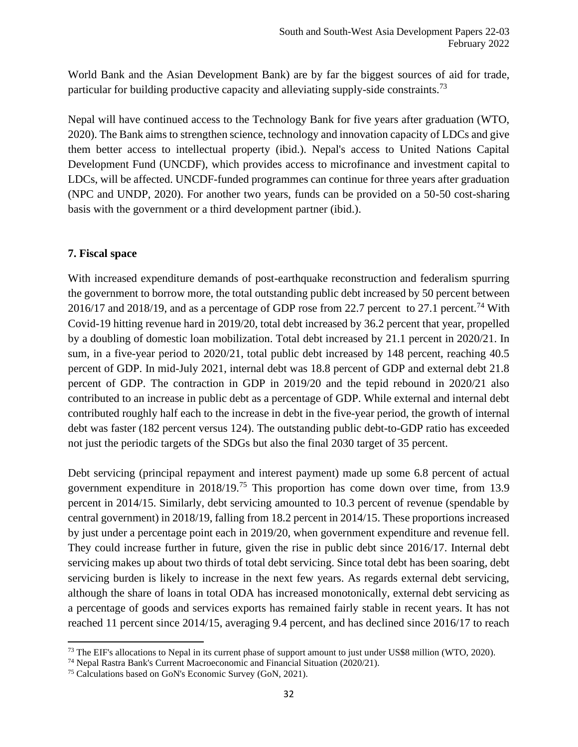World Bank and the Asian Development Bank) are by far the biggest sources of aid for trade, particular for building productive capacity and alleviating supply-side constraints.<sup>73</sup>

Nepal will have continued access to the Technology Bank for five years after graduation (WTO, 2020). The Bank aims to strengthen science, technology and innovation capacity of LDCs and give them better access to intellectual property (ibid.). Nepal's access to United Nations Capital Development Fund (UNCDF), which provides access to microfinance and investment capital to LDCs, will be affected. UNCDF-funded programmes can continue for three years after graduation (NPC and UNDP, 2020). For another two years, funds can be provided on a 50-50 cost-sharing basis with the government or a third development partner (ibid.).

## <span id="page-31-0"></span>**7. Fiscal space**

With increased expenditure demands of post-earthquake reconstruction and federalism spurring the government to borrow more, the total outstanding public debt increased by 50 percent between 2016/17 and 2018/19, and as a percentage of GDP rose from 22.7 percent to 27.1 percent.<sup>74</sup> With Covid-19 hitting revenue hard in 2019/20, total debt increased by 36.2 percent that year, propelled by a doubling of domestic loan mobilization. Total debt increased by 21.1 percent in 2020/21. In sum, in a five-year period to 2020/21, total public debt increased by 148 percent, reaching 40.5 percent of GDP. In mid-July 2021, internal debt was 18.8 percent of GDP and external debt 21.8 percent of GDP. The contraction in GDP in 2019/20 and the tepid rebound in 2020/21 also contributed to an increase in public debt as a percentage of GDP. While external and internal debt contributed roughly half each to the increase in debt in the five-year period, the growth of internal debt was faster (182 percent versus 124). The outstanding public debt-to-GDP ratio has exceeded not just the periodic targets of the SDGs but also the final 2030 target of 35 percent.

Debt servicing (principal repayment and interest payment) made up some 6.8 percent of actual government expenditure in  $2018/19$ .<sup>75</sup> This proportion has come down over time, from 13.9 percent in 2014/15. Similarly, debt servicing amounted to 10.3 percent of revenue (spendable by central government) in 2018/19, falling from 18.2 percent in 2014/15. These proportions increased by just under a percentage point each in 2019/20, when government expenditure and revenue fell. They could increase further in future, given the rise in public debt since 2016/17. Internal debt servicing makes up about two thirds of total debt servicing. Since total debt has been soaring, debt servicing burden is likely to increase in the next few years. As regards external debt servicing, although the share of loans in total ODA has increased monotonically, external debt servicing as a percentage of goods and services exports has remained fairly stable in recent years. It has not reached 11 percent since 2014/15, averaging 9.4 percent, and has declined since 2016/17 to reach

<sup>&</sup>lt;sup>73</sup> The EIF's allocations to Nepal in its current phase of support amount to just under US\$8 million (WTO, 2020).

<sup>74</sup> Nepal Rastra Bank's Current Macroeconomic and Financial Situation (2020/21).

<sup>75</sup> Calculations based on GoN's Economic Survey (GoN, 2021).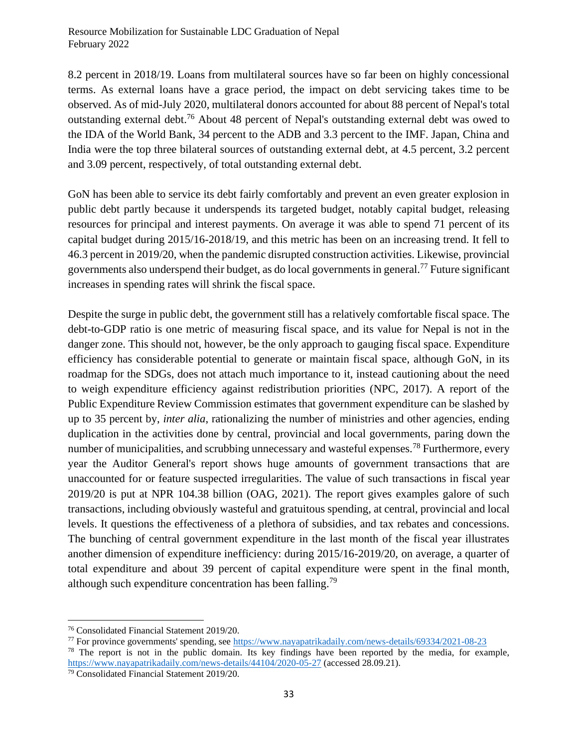8.2 percent in 2018/19. Loans from multilateral sources have so far been on highly concessional terms. As external loans have a grace period, the impact on debt servicing takes time to be observed. As of mid-July 2020, multilateral donors accounted for about 88 percent of Nepal's total outstanding external debt.<sup>76</sup> About 48 percent of Nepal's outstanding external debt was owed to the IDA of the World Bank, 34 percent to the ADB and 3.3 percent to the IMF. Japan, China and India were the top three bilateral sources of outstanding external debt, at 4.5 percent, 3.2 percent and 3.09 percent, respectively, of total outstanding external debt.

GoN has been able to service its debt fairly comfortably and prevent an even greater explosion in public debt partly because it underspends its targeted budget, notably capital budget, releasing resources for principal and interest payments. On average it was able to spend 71 percent of its capital budget during 2015/16-2018/19, and this metric has been on an increasing trend. It fell to 46.3 percent in 2019/20, when the pandemic disrupted construction activities. Likewise, provincial governments also underspend their budget, as do local governments in general.<sup>77</sup> Future significant increases in spending rates will shrink the fiscal space.

Despite the surge in public debt, the government still has a relatively comfortable fiscal space. The debt-to-GDP ratio is one metric of measuring fiscal space, and its value for Nepal is not in the danger zone. This should not, however, be the only approach to gauging fiscal space. Expenditure efficiency has considerable potential to generate or maintain fiscal space, although GoN, in its roadmap for the SDGs, does not attach much importance to it, instead cautioning about the need to weigh expenditure efficiency against redistribution priorities (NPC, 2017). A report of the Public Expenditure Review Commission estimates that government expenditure can be slashed by up to 35 percent by, *inter alia*, rationalizing the number of ministries and other agencies, ending duplication in the activities done by central, provincial and local governments, paring down the number of municipalities, and scrubbing unnecessary and wasteful expenses.<sup>78</sup> Furthermore, every year the Auditor General's report shows huge amounts of government transactions that are unaccounted for or feature suspected irregularities. The value of such transactions in fiscal year 2019/20 is put at NPR 104.38 billion (OAG, 2021). The report gives examples galore of such transactions, including obviously wasteful and gratuitous spending, at central, provincial and local levels. It questions the effectiveness of a plethora of subsidies, and tax rebates and concessions. The bunching of central government expenditure in the last month of the fiscal year illustrates another dimension of expenditure inefficiency: during 2015/16-2019/20, on average, a quarter of total expenditure and about 39 percent of capital expenditure were spent in the final month, although such expenditure concentration has been falling.<sup>79</sup>

<sup>76</sup> Consolidated Financial Statement 2019/20.

<sup>77</sup> For province governments' spending, see<https://www.nayapatrikadaily.com/news-details/69334/2021-08-23> <sup>78</sup> The report is not in the public domain. Its key findings have been reported by the media, for example, <https://www.nayapatrikadaily.com/news-details/44104/2020-05-27> (accessed 28.09.21).

<sup>79</sup> Consolidated Financial Statement 2019/20.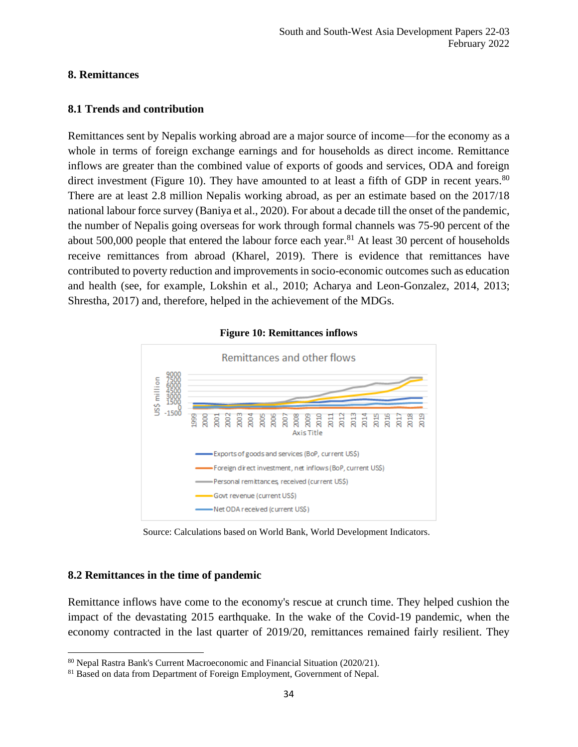#### <span id="page-33-0"></span>**8. Remittances**

## <span id="page-33-1"></span>**8.1 Trends and contribution**

Remittances sent by Nepalis working abroad are a major source of income—for the economy as a whole in terms of foreign exchange earnings and for households as direct income. Remittance inflows are greater than the combined value of exports of goods and services, ODA and foreign direct investment (Figure 10). They have amounted to at least a fifth of GDP in recent years.  $80$ There are at least 2.8 million Nepalis working abroad, as per an estimate based on the 2017/18 national labour force survey (Baniya et al., 2020). For about a decade till the onset of the pandemic, the number of Nepalis going overseas for work through formal channels was 75-90 percent of the about 500,000 people that entered the labour force each year.<sup>81</sup> At least 30 percent of households receive remittances from abroad (Kharel, 2019). There is evidence that remittances have contributed to poverty reduction and improvements in socio-economic outcomes such as education and health (see, for example, Lokshin et al., 2010; Acharya and Leon-Gonzalez, 2014, 2013; Shrestha, 2017) and, therefore, helped in the achievement of the MDGs.



#### **Figure 10: Remittances inflows**

Source: Calculations based on World Bank, World Development Indicators.

## <span id="page-33-2"></span>**8.2 Remittances in the time of pandemic**

Remittance inflows have come to the economy's rescue at crunch time. They helped cushion the impact of the devastating 2015 earthquake. In the wake of the Covid-19 pandemic, when the economy contracted in the last quarter of 2019/20, remittances remained fairly resilient. They

<sup>80</sup> Nepal Rastra Bank's Current Macroeconomic and Financial Situation (2020/21).

<sup>&</sup>lt;sup>81</sup> Based on data from Department of Foreign Employment, Government of Nepal.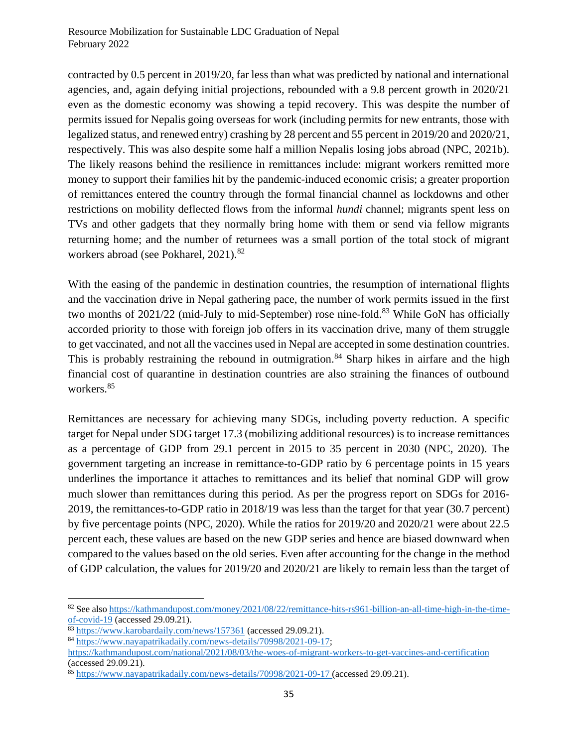contracted by 0.5 percent in 2019/20, far less than what was predicted by national and international agencies, and, again defying initial projections, rebounded with a 9.8 percent growth in 2020/21 even as the domestic economy was showing a tepid recovery. This was despite the number of permits issued for Nepalis going overseas for work (including permits for new entrants, those with legalized status, and renewed entry) crashing by 28 percent and 55 percent in 2019/20 and 2020/21, respectively. This was also despite some half a million Nepalis losing jobs abroad (NPC, 2021b). The likely reasons behind the resilience in remittances include: migrant workers remitted more money to support their families hit by the pandemic-induced economic crisis; a greater proportion of remittances entered the country through the formal financial channel as lockdowns and other restrictions on mobility deflected flows from the informal *hundi* channel; migrants spent less on TVs and other gadgets that they normally bring home with them or send via fellow migrants returning home; and the number of returnees was a small portion of the total stock of migrant workers abroad (see Pokharel, 2021).<sup>82</sup>

With the easing of the pandemic in destination countries, the resumption of international flights and the vaccination drive in Nepal gathering pace, the number of work permits issued in the first two months of 2021/22 (mid-July to mid-September) rose nine-fold.<sup>83</sup> While GoN has officially accorded priority to those with foreign job offers in its vaccination drive, many of them struggle to get vaccinated, and not all the vaccines used in Nepal are accepted in some destination countries. This is probably restraining the rebound in outmigration.<sup>84</sup> Sharp hikes in airfare and the high financial cost of quarantine in destination countries are also straining the finances of outbound workers.<sup>85</sup>

Remittances are necessary for achieving many SDGs, including poverty reduction. A specific target for Nepal under SDG target 17.3 (mobilizing additional resources) is to increase remittances as a percentage of GDP from 29.1 percent in 2015 to 35 percent in 2030 (NPC, 2020). The government targeting an increase in remittance-to-GDP ratio by 6 percentage points in 15 years underlines the importance it attaches to remittances and its belief that nominal GDP will grow much slower than remittances during this period. As per the progress report on SDGs for 2016- 2019, the remittances-to-GDP ratio in 2018/19 was less than the target for that year (30.7 percent) by five percentage points (NPC, 2020). While the ratios for 2019/20 and 2020/21 were about 22.5 percent each, these values are based on the new GDP series and hence are biased downward when compared to the values based on the old series. Even after accounting for the change in the method of GDP calculation, the values for 2019/20 and 2020/21 are likely to remain less than the target of

<sup>82</sup> See also [https://kathmandupost.com/money/2021/08/22/remittance-hits-rs961-billion-an-all-time-high-in-the-time](https://kathmandupost.com/money/2021/08/22/remittance-hits-rs961-billion-an-all-time-high-in-the-time-of-covid-19)[of-covid-19](https://kathmandupost.com/money/2021/08/22/remittance-hits-rs961-billion-an-all-time-high-in-the-time-of-covid-19) (accessed 29.09.21).

<sup>83</sup> <https://www.karobardaily.com/news/157361> (accessed 29.09.21).

<sup>84</sup> [https://www.nayapatrikadaily.com/news-details/70998/2021-09-17;](https://www.nayapatrikadaily.com/news-details/70998/2021-09-17)

<https://kathmandupost.com/national/2021/08/03/the-woes-of-migrant-workers-to-get-vaccines-and-certification> (accessed 29.09.21).

<sup>85</sup> <https://www.nayapatrikadaily.com/news-details/70998/2021-09-17> (accessed 29.09.21).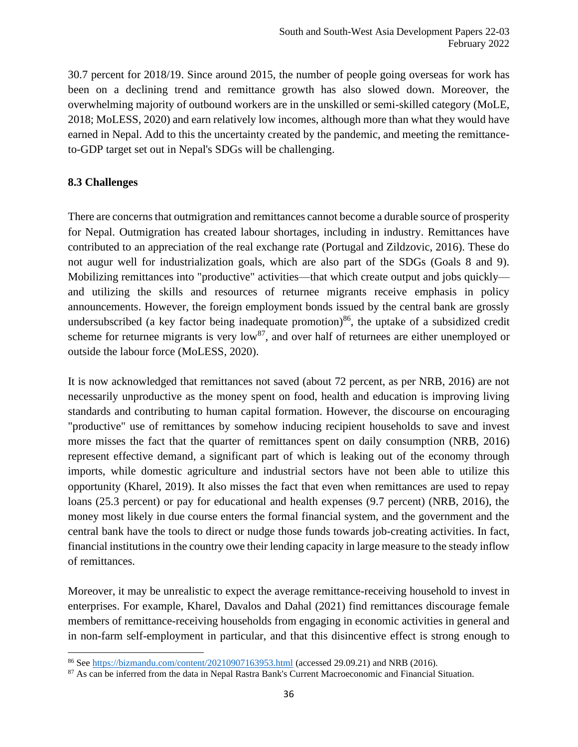30.7 percent for 2018/19. Since around 2015, the number of people going overseas for work has been on a declining trend and remittance growth has also slowed down. Moreover, the overwhelming majority of outbound workers are in the unskilled or semi-skilled category (MoLE, 2018; MoLESS, 2020) and earn relatively low incomes, although more than what they would have earned in Nepal. Add to this the uncertainty created by the pandemic, and meeting the remittanceto-GDP target set out in Nepal's SDGs will be challenging.

## <span id="page-35-0"></span>**8.3 Challenges**

There are concerns that outmigration and remittances cannot become a durable source of prosperity for Nepal. Outmigration has created labour shortages, including in industry. Remittances have contributed to an appreciation of the real exchange rate (Portugal and Zildzovic, 2016). These do not augur well for industrialization goals, which are also part of the SDGs (Goals 8 and 9). Mobilizing remittances into "productive" activities—that which create output and jobs quickly and utilizing the skills and resources of returnee migrants receive emphasis in policy announcements. However, the foreign employment bonds issued by the central bank are grossly undersubscribed (a key factor being inadequate promotion)<sup>86</sup>, the uptake of a subsidized credit scheme for returnee migrants is very low<sup>87</sup>, and over half of returnees are either unemployed or outside the labour force (MoLESS, 2020).

It is now acknowledged that remittances not saved (about 72 percent, as per NRB, 2016) are not necessarily unproductive as the money spent on food, health and education is improving living standards and contributing to human capital formation. However, the discourse on encouraging "productive" use of remittances by somehow inducing recipient households to save and invest more misses the fact that the quarter of remittances spent on daily consumption (NRB, 2016) represent effective demand, a significant part of which is leaking out of the economy through imports, while domestic agriculture and industrial sectors have not been able to utilize this opportunity (Kharel, 2019). It also misses the fact that even when remittances are used to repay loans (25.3 percent) or pay for educational and health expenses (9.7 percent) (NRB, 2016), the money most likely in due course enters the formal financial system, and the government and the central bank have the tools to direct or nudge those funds towards job-creating activities. In fact, financial institutions in the country owe their lending capacity in large measure to the steady inflow of remittances.

Moreover, it may be unrealistic to expect the average remittance-receiving household to invest in enterprises. For example, Kharel, Davalos and Dahal (2021) find remittances discourage female members of remittance-receiving households from engaging in economic activities in general and in non-farm self-employment in particular, and that this disincentive effect is strong enough to

<sup>86</sup> See<https://bizmandu.com/content/20210907163953.html> (accessed 29.09.21) and NRB (2016).

<sup>&</sup>lt;sup>87</sup> As can be inferred from the data in Nepal Rastra Bank's Current Macroeconomic and Financial Situation.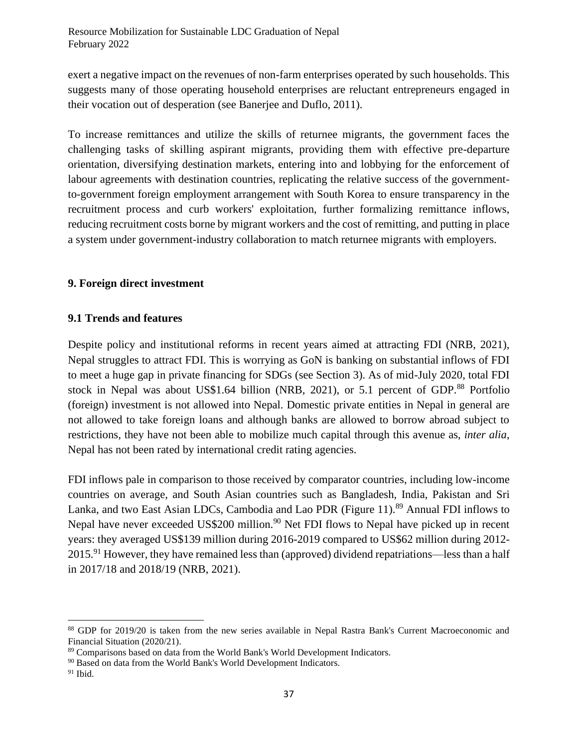exert a negative impact on the revenues of non-farm enterprises operated by such households. This suggests many of those operating household enterprises are reluctant entrepreneurs engaged in their vocation out of desperation (see Banerjee and Duflo, 2011).

To increase remittances and utilize the skills of returnee migrants, the government faces the challenging tasks of skilling aspirant migrants, providing them with effective pre-departure orientation, diversifying destination markets, entering into and lobbying for the enforcement of labour agreements with destination countries, replicating the relative success of the governmentto-government foreign employment arrangement with South Korea to ensure transparency in the recruitment process and curb workers' exploitation, further formalizing remittance inflows, reducing recruitment costs borne by migrant workers and the cost of remitting, and putting in place a system under government-industry collaboration to match returnee migrants with employers.

## <span id="page-36-0"></span>**9. Foreign direct investment**

## <span id="page-36-1"></span>**9.1 Trends and features**

Despite policy and institutional reforms in recent years aimed at attracting FDI (NRB, 2021), Nepal struggles to attract FDI. This is worrying as GoN is banking on substantial inflows of FDI to meet a huge gap in private financing for SDGs (see Section 3). As of mid-July 2020, total FDI stock in Nepal was about US\$1.64 billion (NRB, 2021), or 5.1 percent of GDP.<sup>88</sup> Portfolio (foreign) investment is not allowed into Nepal. Domestic private entities in Nepal in general are not allowed to take foreign loans and although banks are allowed to borrow abroad subject to restrictions, they have not been able to mobilize much capital through this avenue as, *inter alia*, Nepal has not been rated by international credit rating agencies.

FDI inflows pale in comparison to those received by comparator countries, including low-income countries on average, and South Asian countries such as Bangladesh, India, Pakistan and Sri Lanka, and two East Asian LDCs, Cambodia and Lao PDR (Figure 11).<sup>89</sup> Annual FDI inflows to Nepal have never exceeded US\$200 million.<sup>90</sup> Net FDI flows to Nepal have picked up in recent years: they averaged US\$139 million during 2016-2019 compared to US\$62 million during 2012- 2015.<sup>91</sup> However, they have remained less than (approved) dividend repatriations—less than a half in 2017/18 and 2018/19 (NRB, 2021).

<sup>88</sup> GDP for 2019/20 is taken from the new series available in Nepal Rastra Bank's Current Macroeconomic and Financial Situation (2020/21).

<sup>89</sup> Comparisons based on data from the World Bank's World Development Indicators.

<sup>&</sup>lt;sup>90</sup> Based on data from the World Bank's World Development Indicators.

<sup>91</sup> Ibid.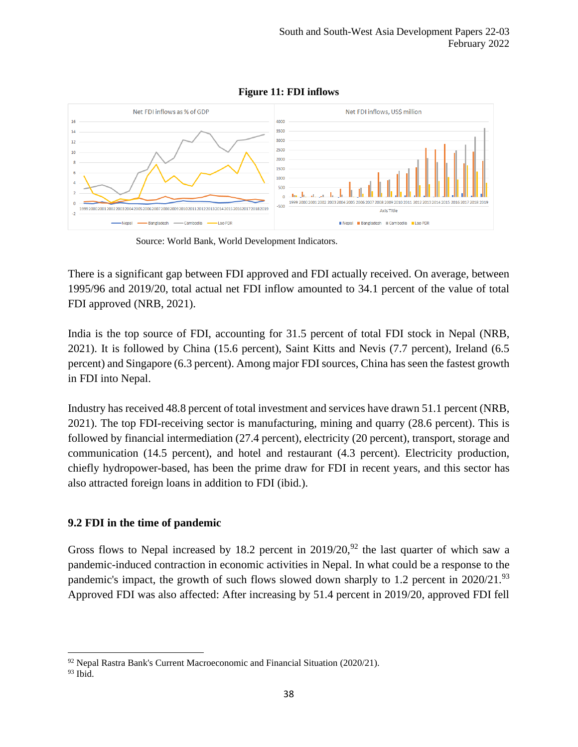

**Figure 11: FDI inflows**

Source: World Bank, World Development Indicators.

There is a significant gap between FDI approved and FDI actually received. On average, between 1995/96 and 2019/20, total actual net FDI inflow amounted to 34.1 percent of the value of total FDI approved (NRB, 2021).

India is the top source of FDI, accounting for 31.5 percent of total FDI stock in Nepal (NRB, 2021). It is followed by China (15.6 percent), Saint Kitts and Nevis (7.7 percent), Ireland (6.5 percent) and Singapore (6.3 percent). Among major FDI sources, China has seen the fastest growth in FDI into Nepal.

Industry has received 48.8 percent of total investment and services have drawn 51.1 percent (NRB, 2021). The top FDI-receiving sector is manufacturing, mining and quarry (28.6 percent). This is followed by financial intermediation (27.4 percent), electricity (20 percent), transport, storage and communication (14.5 percent), and hotel and restaurant (4.3 percent). Electricity production, chiefly hydropower-based, has been the prime draw for FDI in recent years, and this sector has also attracted foreign loans in addition to FDI (ibid.).

## <span id="page-37-0"></span>**9.2 FDI in the time of pandemic**

Gross flows to Nepal increased by 18.2 percent in  $2019/20$ ,  $92$  the last quarter of which saw a pandemic-induced contraction in economic activities in Nepal. In what could be a response to the pandemic's impact, the growth of such flows slowed down sharply to 1.2 percent in 2020/21.<sup>93</sup> Approved FDI was also affected: After increasing by 51.4 percent in 2019/20, approved FDI fell

 $92$  Nepal Rastra Bank's Current Macroeconomic and Financial Situation (2020/21).

 $93$  Ibid.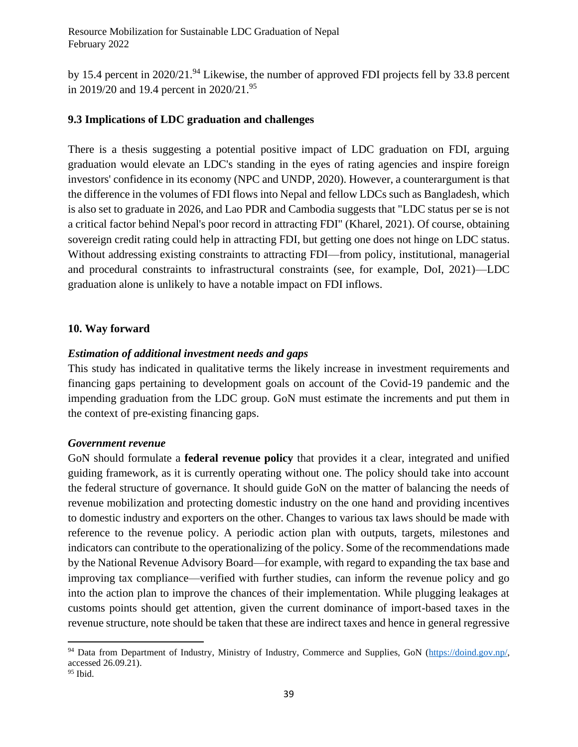Resource Mobilization for Sustainable LDC Graduation of Nepal February 2022

by 15.4 percent in 2020/21.<sup>94</sup> Likewise, the number of approved FDI projects fell by 33.8 percent in 2019/20 and 19.4 percent in 2020/21.<sup>95</sup>

## <span id="page-38-0"></span>**9.3 Implications of LDC graduation and challenges**

There is a thesis suggesting a potential positive impact of LDC graduation on FDI, arguing graduation would elevate an LDC's standing in the eyes of rating agencies and inspire foreign investors' confidence in its economy (NPC and UNDP, 2020). However, a counterargument is that the difference in the volumes of FDI flows into Nepal and fellow LDCs such as Bangladesh, which is also set to graduate in 2026, and Lao PDR and Cambodia suggests that "LDC status per se is not a critical factor behind Nepal's poor record in attracting FDI" (Kharel, 2021). Of course, obtaining sovereign credit rating could help in attracting FDI, but getting one does not hinge on LDC status. Without addressing existing constraints to attracting FDI—from policy, institutional, managerial and procedural constraints to infrastructural constraints (see, for example, DoI, 2021)—LDC graduation alone is unlikely to have a notable impact on FDI inflows.

#### <span id="page-38-1"></span>**10. Way forward**

## <span id="page-38-2"></span>*Estimation of additional investment needs and gaps*

This study has indicated in qualitative terms the likely increase in investment requirements and financing gaps pertaining to development goals on account of the Covid-19 pandemic and the impending graduation from the LDC group. GoN must estimate the increments and put them in the context of pre-existing financing gaps.

#### <span id="page-38-3"></span>*Government revenue*

GoN should formulate a **federal revenue policy** that provides it a clear, integrated and unified guiding framework, as it is currently operating without one. The policy should take into account the federal structure of governance. It should guide GoN on the matter of balancing the needs of revenue mobilization and protecting domestic industry on the one hand and providing incentives to domestic industry and exporters on the other. Changes to various tax laws should be made with reference to the revenue policy. A periodic action plan with outputs, targets, milestones and indicators can contribute to the operationalizing of the policy. Some of the recommendations made by the National Revenue Advisory Board—for example, with regard to expanding the tax base and improving tax compliance—verified with further studies, can inform the revenue policy and go into the action plan to improve the chances of their implementation. While plugging leakages at customs points should get attention, given the current dominance of import-based taxes in the revenue structure, note should be taken that these are indirect taxes and hence in general regressive

<sup>94</sup> Data from Department of Industry, Ministry of Industry, Commerce and Supplies, GoN [\(https://doind.gov.np/,](https://doind.gov.np/) accessed 26.09.21).

<sup>95</sup> Ibid.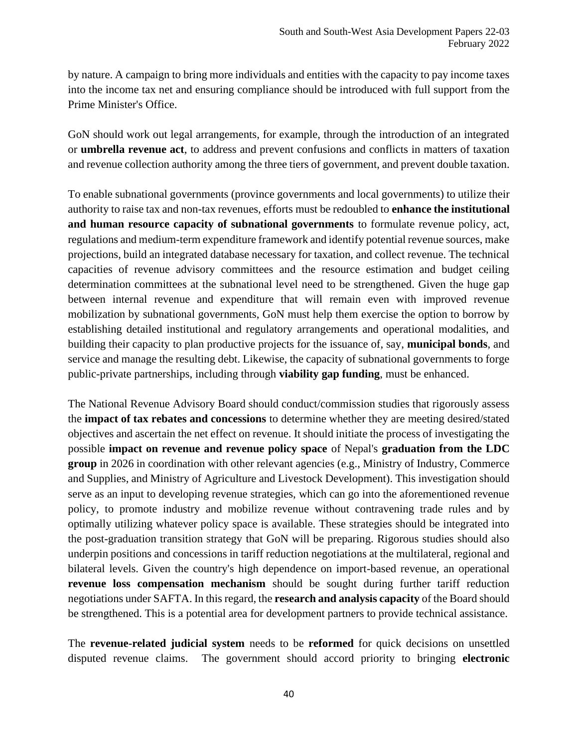by nature. A campaign to bring more individuals and entities with the capacity to pay income taxes into the income tax net and ensuring compliance should be introduced with full support from the Prime Minister's Office.

GoN should work out legal arrangements, for example, through the introduction of an integrated or **umbrella revenue act**, to address and prevent confusions and conflicts in matters of taxation and revenue collection authority among the three tiers of government, and prevent double taxation.

To enable subnational governments (province governments and local governments) to utilize their authority to raise tax and non-tax revenues, efforts must be redoubled to **enhance the institutional and human resource capacity of subnational governments** to formulate revenue policy, act, regulations and medium-term expenditure framework and identify potential revenue sources, make projections, build an integrated database necessary for taxation, and collect revenue. The technical capacities of revenue advisory committees and the resource estimation and budget ceiling determination committees at the subnational level need to be strengthened. Given the huge gap between internal revenue and expenditure that will remain even with improved revenue mobilization by subnational governments, GoN must help them exercise the option to borrow by establishing detailed institutional and regulatory arrangements and operational modalities, and building their capacity to plan productive projects for the issuance of, say, **municipal bonds**, and service and manage the resulting debt. Likewise, the capacity of subnational governments to forge public-private partnerships, including through **viability gap funding**, must be enhanced.

The National Revenue Advisory Board should conduct/commission studies that rigorously assess the **impact of tax rebates and concessions** to determine whether they are meeting desired/stated objectives and ascertain the net effect on revenue. It should initiate the process of investigating the possible **impact on revenue and revenue policy space** of Nepal's **graduation from the LDC group** in 2026 in coordination with other relevant agencies (e.g., Ministry of Industry, Commerce and Supplies, and Ministry of Agriculture and Livestock Development). This investigation should serve as an input to developing revenue strategies, which can go into the aforementioned revenue policy, to promote industry and mobilize revenue without contravening trade rules and by optimally utilizing whatever policy space is available. These strategies should be integrated into the post-graduation transition strategy that GoN will be preparing. Rigorous studies should also underpin positions and concessions in tariff reduction negotiations at the multilateral, regional and bilateral levels. Given the country's high dependence on import-based revenue, an operational **revenue loss compensation mechanism** should be sought during further tariff reduction negotiations under SAFTA. In this regard, the **research and analysis capacity** of the Board should be strengthened. This is a potential area for development partners to provide technical assistance.

The **revenue-related judicial system** needs to be **reformed** for quick decisions on unsettled disputed revenue claims. The government should accord priority to bringing **electronic**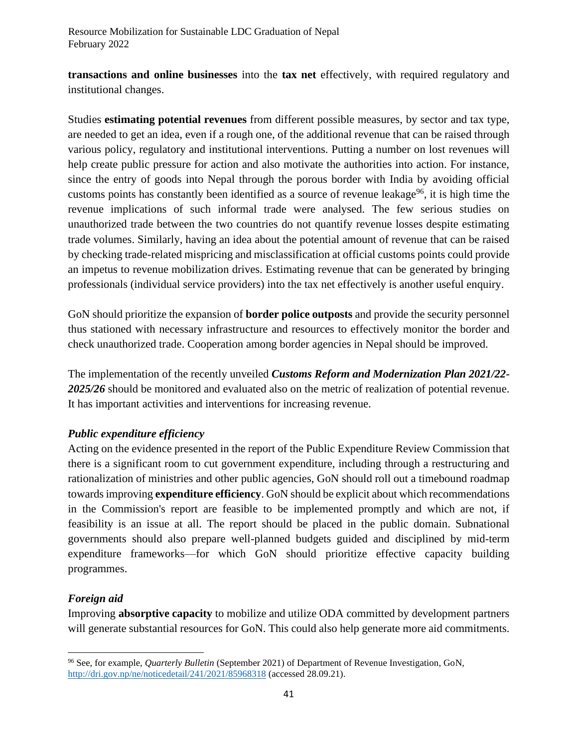**transactions and online businesses** into the **tax net** effectively, with required regulatory and institutional changes.

Studies **estimating potential revenues** from different possible measures, by sector and tax type, are needed to get an idea, even if a rough one, of the additional revenue that can be raised through various policy, regulatory and institutional interventions. Putting a number on lost revenues will help create public pressure for action and also motivate the authorities into action. For instance, since the entry of goods into Nepal through the porous border with India by avoiding official customs points has constantly been identified as a source of revenue leakage<sup>96</sup>, it is high time the revenue implications of such informal trade were analysed. The few serious studies on unauthorized trade between the two countries do not quantify revenue losses despite estimating trade volumes. Similarly, having an idea about the potential amount of revenue that can be raised by checking trade-related mispricing and misclassification at official customs points could provide an impetus to revenue mobilization drives. Estimating revenue that can be generated by bringing professionals (individual service providers) into the tax net effectively is another useful enquiry.

GoN should prioritize the expansion of **border police outposts** and provide the security personnel thus stationed with necessary infrastructure and resources to effectively monitor the border and check unauthorized trade. Cooperation among border agencies in Nepal should be improved.

The implementation of the recently unveiled *Customs Reform and Modernization Plan 2021/22- 2025/26* should be monitored and evaluated also on the metric of realization of potential revenue. It has important activities and interventions for increasing revenue.

# <span id="page-40-0"></span>*Public expenditure efficiency*

Acting on the evidence presented in the report of the Public Expenditure Review Commission that there is a significant room to cut government expenditure, including through a restructuring and rationalization of ministries and other public agencies, GoN should roll out a timebound roadmap towards improving **expenditure efficiency**. GoN should be explicit about which recommendations in the Commission's report are feasible to be implemented promptly and which are not, if feasibility is an issue at all. The report should be placed in the public domain. Subnational governments should also prepare well-planned budgets guided and disciplined by mid-term expenditure frameworks—for which GoN should prioritize effective capacity building programmes.

# <span id="page-40-1"></span>*Foreign aid*

Improving **absorptive capacity** to mobilize and utilize ODA committed by development partners will generate substantial resources for GoN. This could also help generate more aid commitments.

<sup>96</sup> See, for example, *Quarterly Bulletin* (September 2021) of Department of Revenue Investigation, GoN, <http://dri.gov.np/ne/noticedetail/241/2021/85968318> (accessed 28.09.21).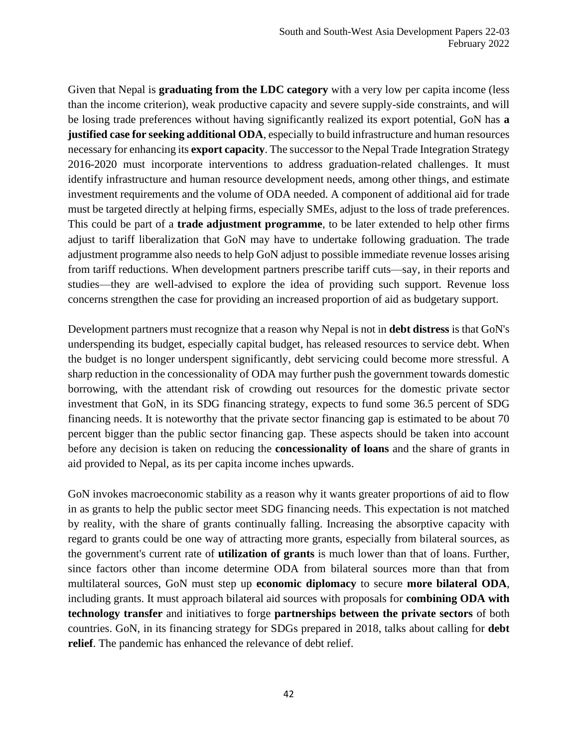Given that Nepal is **graduating from the LDC category** with a very low per capita income (less than the income criterion), weak productive capacity and severe supply-side constraints, and will be losing trade preferences without having significantly realized its export potential, GoN has **a justified case for seeking additional ODA**, especially to build infrastructure and human resources necessary for enhancing its **export capacity**. The successor to the Nepal Trade Integration Strategy 2016-2020 must incorporate interventions to address graduation-related challenges. It must identify infrastructure and human resource development needs, among other things, and estimate investment requirements and the volume of ODA needed. A component of additional aid for trade must be targeted directly at helping firms, especially SMEs, adjust to the loss of trade preferences. This could be part of a **trade adjustment programme**, to be later extended to help other firms adjust to tariff liberalization that GoN may have to undertake following graduation. The trade adjustment programme also needs to help GoN adjust to possible immediate revenue losses arising from tariff reductions. When development partners prescribe tariff cuts—say, in their reports and studies—they are well-advised to explore the idea of providing such support. Revenue loss concerns strengthen the case for providing an increased proportion of aid as budgetary support.

Development partners must recognize that a reason why Nepal is not in **debt distress** is that GoN's underspending its budget, especially capital budget, has released resources to service debt. When the budget is no longer underspent significantly, debt servicing could become more stressful. A sharp reduction in the concessionality of ODA may further push the government towards domestic borrowing, with the attendant risk of crowding out resources for the domestic private sector investment that GoN, in its SDG financing strategy, expects to fund some 36.5 percent of SDG financing needs. It is noteworthy that the private sector financing gap is estimated to be about 70 percent bigger than the public sector financing gap. These aspects should be taken into account before any decision is taken on reducing the **concessionality of loans** and the share of grants in aid provided to Nepal, as its per capita income inches upwards.

GoN invokes macroeconomic stability as a reason why it wants greater proportions of aid to flow in as grants to help the public sector meet SDG financing needs. This expectation is not matched by reality, with the share of grants continually falling. Increasing the absorptive capacity with regard to grants could be one way of attracting more grants, especially from bilateral sources, as the government's current rate of **utilization of grants** is much lower than that of loans. Further, since factors other than income determine ODA from bilateral sources more than that from multilateral sources, GoN must step up **economic diplomacy** to secure **more bilateral ODA**, including grants. It must approach bilateral aid sources with proposals for **combining ODA with technology transfer** and initiatives to forge **partnerships between the private sectors** of both countries. GoN, in its financing strategy for SDGs prepared in 2018, talks about calling for **debt relief**. The pandemic has enhanced the relevance of debt relief.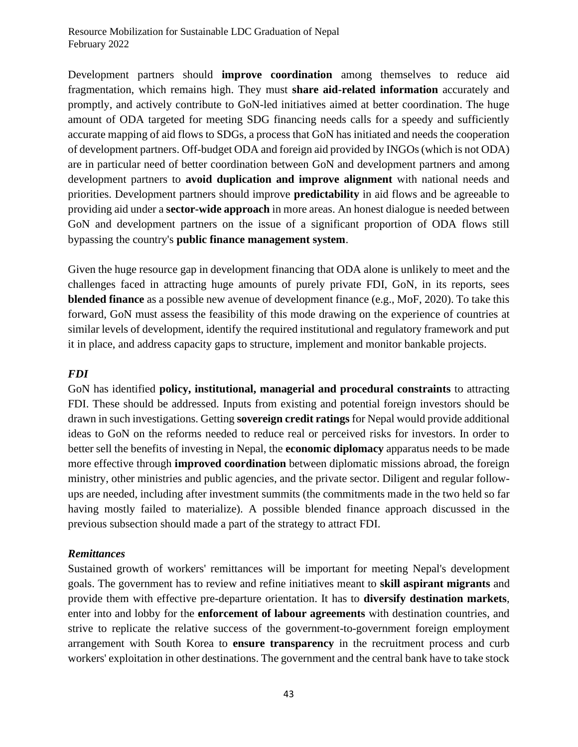Development partners should **improve coordination** among themselves to reduce aid fragmentation, which remains high. They must **share aid-related information** accurately and promptly, and actively contribute to GoN-led initiatives aimed at better coordination. The huge amount of ODA targeted for meeting SDG financing needs calls for a speedy and sufficiently accurate mapping of aid flows to SDGs, a process that GoN has initiated and needs the cooperation of development partners. Off-budget ODA and foreign aid provided by INGOs (which is not ODA) are in particular need of better coordination between GoN and development partners and among development partners to **avoid duplication and improve alignment** with national needs and priorities. Development partners should improve **predictability** in aid flows and be agreeable to providing aid under a **sector-wide approach** in more areas. An honest dialogue is needed between GoN and development partners on the issue of a significant proportion of ODA flows still bypassing the country's **public finance management system**.

Given the huge resource gap in development financing that ODA alone is unlikely to meet and the challenges faced in attracting huge amounts of purely private FDI, GoN, in its reports, sees **blended finance** as a possible new avenue of development finance (e.g., MoF, 2020). To take this forward, GoN must assess the feasibility of this mode drawing on the experience of countries at similar levels of development, identify the required institutional and regulatory framework and put it in place, and address capacity gaps to structure, implement and monitor bankable projects.

## <span id="page-42-0"></span>*FDI*

GoN has identified **policy, institutional, managerial and procedural constraints** to attracting FDI. These should be addressed. Inputs from existing and potential foreign investors should be drawn in such investigations. Getting **sovereign credit ratings** for Nepal would provide additional ideas to GoN on the reforms needed to reduce real or perceived risks for investors. In order to better sell the benefits of investing in Nepal, the **economic diplomacy** apparatus needs to be made more effective through **improved coordination** between diplomatic missions abroad, the foreign ministry, other ministries and public agencies, and the private sector. Diligent and regular followups are needed, including after investment summits (the commitments made in the two held so far having mostly failed to materialize). A possible blended finance approach discussed in the previous subsection should made a part of the strategy to attract FDI.

## <span id="page-42-1"></span>*Remittances*

Sustained growth of workers' remittances will be important for meeting Nepal's development goals. The government has to review and refine initiatives meant to **skill aspirant migrants** and provide them with effective pre-departure orientation. It has to **diversify destination markets**, enter into and lobby for the **enforcement of labour agreements** with destination countries, and strive to replicate the relative success of the government-to-government foreign employment arrangement with South Korea to **ensure transparency** in the recruitment process and curb workers' exploitation in other destinations. The government and the central bank have to take stock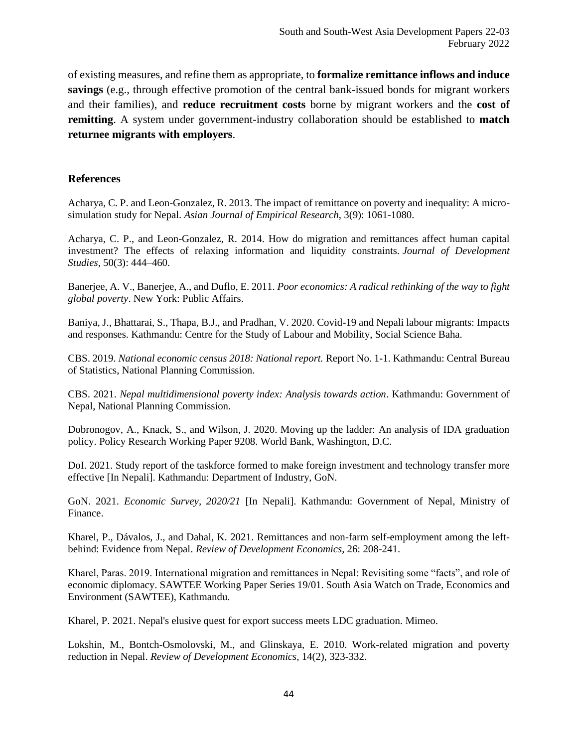of existing measures, and refine them as appropriate, to **formalize remittance inflows and induce savings** (e.g., through effective promotion of the central bank-issued bonds for migrant workers and their families), and **reduce recruitment costs** borne by migrant workers and the **cost of remitting**. A system under government-industry collaboration should be established to **match returnee migrants with employers**.

#### <span id="page-43-0"></span>**References**

Acharya, C. P. and Leon-Gonzalez, R. 2013. The impact of remittance on poverty and inequality: A microsimulation study for Nepal. *Asian Journal of Empirical Research*, 3(9): 1061-1080.

Acharya, C. P., and Leon-Gonzalez, R. 2014. How do migration and remittances affect human capital investment? The effects of relaxing information and liquidity constraints. *Journal of Development Studies*, 50(3): 444–460.

Banerjee, A. V., Banerjee, A., and Duflo, E. 2011. *Poor economics: A radical rethinking of the way to fight global poverty*. New York: Public Affairs.

Baniya, J., Bhattarai, S., Thapa, B.J., and Pradhan, V. 2020. Covid-19 and Nepali labour migrants: Impacts and responses. Kathmandu: Centre for the Study of Labour and Mobility, Social Science Baha.

CBS. 2019. *National economic census 2018: National report.* Report No. 1-1. Kathmandu: Central Bureau of Statistics, National Planning Commission.

CBS. 2021. *Nepal multidimensional poverty index: Analysis towards action*. Kathmandu: Government of Nepal, National Planning Commission.

Dobronogov, A., Knack, S., and Wilson, J. 2020. Moving up the ladder: An analysis of IDA graduation policy. Policy Research Working Paper 9208. World Bank, Washington, D.C.

DoI. 2021. Study report of the taskforce formed to make foreign investment and technology transfer more effective [In Nepali]. Kathmandu: Department of Industry, GoN.

GoN. 2021. *Economic Survey, 2020/21* [In Nepali]. Kathmandu: Government of Nepal, Ministry of Finance.

Kharel, P., Dávalos, J., and Dahal, K. 2021. Remittances and non-farm self-employment among the leftbehind: Evidence from Nepal. *Review of Development Economics*, 26: 208-241.

Kharel, Paras. 2019. International migration and remittances in Nepal: Revisiting some "facts", and role of economic diplomacy. SAWTEE Working Paper Series 19/01. South Asia Watch on Trade, Economics and Environment (SAWTEE), Kathmandu.

Kharel, P. 2021. Nepal's elusive quest for export success meets LDC graduation. Mimeo.

Lokshin, M., Bontch-Osmolovski, M., and Glinskaya, E. 2010. Work-related migration and poverty reduction in Nepal. *Review of Development Economics*, 14(2), 323-332.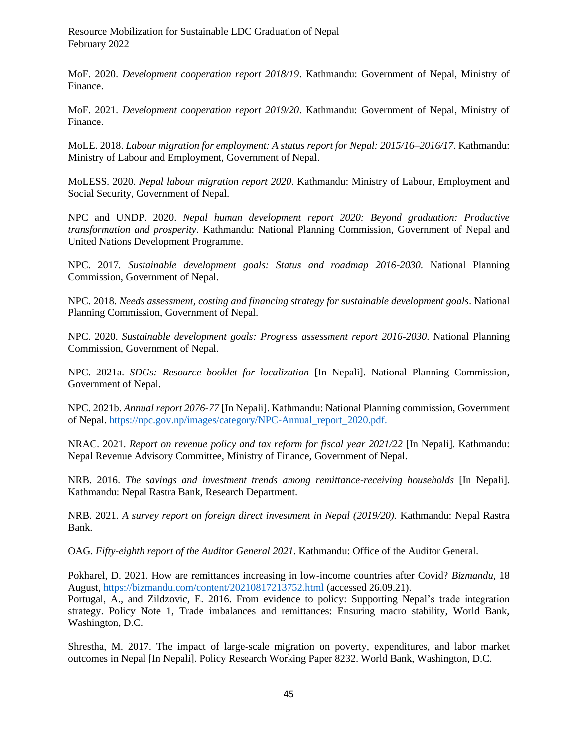Resource Mobilization for Sustainable LDC Graduation of Nepal February 2022

MoF. 2020. *Development cooperation report 2018/19*. Kathmandu: Government of Nepal, Ministry of Finance.

MoF. 2021. *Development cooperation report 2019/20*. Kathmandu: Government of Nepal, Ministry of Finance.

MoLE. 2018. *Labour migration for employment: A status report for Nepal: 2015/16–2016/17*. Kathmandu: Ministry of Labour and Employment, Government of Nepal.

MoLESS. 2020. *Nepal labour migration report 2020*. Kathmandu: Ministry of Labour, Employment and Social Security, Government of Nepal.

NPC and UNDP. 2020. *Nepal human development report 2020: Beyond graduation: Productive transformation and prosperity*. Kathmandu: National Planning Commission, Government of Nepal and United Nations Development Programme.

NPC. 2017*. Sustainable development goals: Status and roadmap 2016-2030*. National Planning Commission, Government of Nepal.

NPC. 2018. *Needs assessment, costing and financing strategy for sustainable development goals*. National Planning Commission, Government of Nepal.

NPC. 2020. *Sustainable development goals: Progress assessment report 2016-2030*. National Planning Commission, Government of Nepal.

NPC. 2021a. *SDGs: Resource booklet for localization* [In Nepali]. National Planning Commission, Government of Nepal.

NPC. 2021b. *Annual report 2076-77* [In Nepali]. Kathmandu: National Planning commission, Government of Nepal[. https://npc.gov.np/images/category/NPC-Annual\\_report\\_2020.pdf.](https://npc.gov.np/images/category/NPC-Annual_report_2020.pdf)

NRAC. 2021. *Report on revenue policy and tax reform for fiscal year 2021/22* [In Nepali]. Kathmandu: Nepal Revenue Advisory Committee, Ministry of Finance, Government of Nepal.

NRB. 2016. *The savings and investment trends among remittance-receiving households* [In Nepali]. Kathmandu: Nepal Rastra Bank, Research Department.

NRB. 2021. *A survey report on foreign direct investment in Nepal (2019/20).* Kathmandu: Nepal Rastra Bank.

OAG. *Fifty-eighth report of the Auditor General 2021*. Kathmandu: Office of the Auditor General.

Pokharel, D. 2021. How are remittances increasing in low-income countries after Covid? *Bizmandu*, 18 August,<https://bizmandu.com/content/20210817213752.html> (accessed 26.09.21).

Portugal, A., and Zildzovic, E. 2016. From evidence to policy: Supporting Nepal's trade integration strategy. Policy Note 1, Trade imbalances and remittances: Ensuring macro stability, World Bank, Washington, D.C.

Shrestha, M. 2017. The impact of large-scale migration on poverty, expenditures, and labor market outcomes in Nepal [In Nepali]. Policy Research Working Paper 8232. World Bank, Washington, D.C.